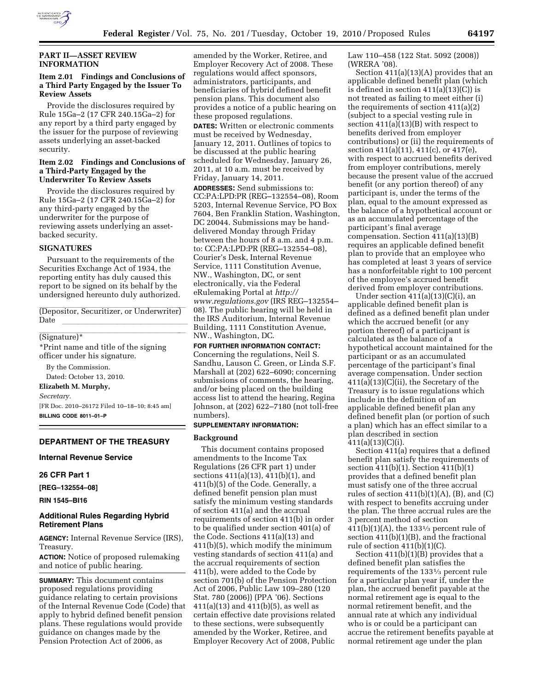

## **PART II—ASSET REVIEW INFORMATION**

## **Item 2.01 Findings and Conclusions of a Third Party Engaged by the Issuer To Review Assets**

Provide the disclosures required by Rule 15Ga–2 (17 CFR 240.15Ga–2) for any report by a third party engaged by the issuer for the purpose of reviewing assets underlying an asset-backed security.

#### **Item 2.02 Findings and Conclusions of a Third-Party Engaged by the Underwriter To Review Assets**

Provide the disclosures required by Rule 15Ga–2 (17 CFR 240.15Ga–2) for any third-party engaged by the underwriter for the purpose of reviewing assets underlying an assetbacked security.

## **SIGNATURES**

Pursuant to the requirements of the Securities Exchange Act of 1934, the reporting entity has duly caused this report to be signed on its behalf by the undersigned hereunto duly authorized.

(Depositor, Securitizer, or Underwriter) Date <u>llevelle</u>

# llamature)\* **limits** and the set of  $\mathcal{L}$

\*Print name and title of the signing officer under his signature.

By the Commission. Dated: October 13, 2010. **Elizabeth M. Murphy,**  *Secretary.*  [FR Doc. 2010–26172 Filed 10–18–10; 8:45 am] **BILLING CODE 8011–01–P** 

# **DEPARTMENT OF THE TREASURY**

#### **Internal Revenue Service**

#### **26 CFR Part 1**

**[REG–132554–08]** 

**RIN 1545–BI16** 

## **Additional Rules Regarding Hybrid Retirement Plans**

**AGENCY:** Internal Revenue Service (IRS), Treasury.

**ACTION:** Notice of proposed rulemaking and notice of public hearing.

**SUMMARY:** This document contains proposed regulations providing guidance relating to certain provisions of the Internal Revenue Code (Code) that apply to hybrid defined benefit pension plans. These regulations would provide guidance on changes made by the Pension Protection Act of 2006, as

amended by the Worker, Retiree, and Employer Recovery Act of 2008. These regulations would affect sponsors, administrators, participants, and beneficiaries of hybrid defined benefit pension plans. This document also provides a notice of a public hearing on these proposed regulations. **DATES:** Written or electronic comments must be received by Wednesday, January 12, 2011. Outlines of topics to be discussed at the public hearing scheduled for Wednesday, January 26, 2011, at 10 a.m. must be received by Friday, January 14, 2011. **ADDRESSES:** Send submissions to: CC:PA:LPD:PR (REG–132554–08), Room 5203, Internal Revenue Service, PO Box 7604, Ben Franklin Station, Washington, DC 20044. Submissions may be handdelivered Monday through Friday between the hours of 8 a.m. and 4 p.m. to: CC:PA:LPD:PR (REG–132554–08), Courier's Desk, Internal Revenue Service, 1111 Constitution Avenue, NW., Washington, DC, or sent electronically, via the Federal eRulemaking Portal at *[http://](http://www.regulations.gov)  [www.regulations.gov](http://www.regulations.gov)* (IRS REG–132554– 08). The public hearing will be held in the IRS Auditorium, Internal Revenue Building, 1111 Constitution Avenue, NW., Washington, DC.

**FOR FURTHER INFORMATION CONTACT:**  Concerning the regulations, Neil S. Sandhu, Lauson C. Green, or Linda S.F. Marshall at (202) 622–6090; concerning submissions of comments, the hearing, and/or being placed on the building access list to attend the hearing, Regina Johnson, at (202) 622–7180 (not toll-free numbers).

#### **SUPPLEMENTARY INFORMATION:**

#### **Background**

This document contains proposed amendments to the Income Tax Regulations (26 CFR part 1) under sections 411(a)(13), 411(b)(1), and 411(b)(5) of the Code. Generally, a defined benefit pension plan must satisfy the minimum vesting standards of section 411(a) and the accrual requirements of section 411(b) in order to be qualified under section 401(a) of the Code. Sections 411(a)(13) and 411(b)(5), which modify the minimum vesting standards of section 411(a) and the accrual requirements of section 411(b), were added to the Code by section 701(b) of the Pension Protection Act of 2006, Public Law 109–280 (120 Stat. 780 (2006)) (PPA '06). Sections  $411(a)(13)$  and  $411(b)(5)$ , as well as certain effective date provisions related to these sections, were subsequently amended by the Worker, Retiree, and Employer Recovery Act of 2008, Public

Law 110–458 (122 Stat. 5092 (2008)) (WRERA '08).

Section 411(a)(13)(A) provides that an applicable defined benefit plan (which is defined in section  $411(a)(13)(C)$  is not treated as failing to meet either (i) the requirements of section 411(a)(2) (subject to a special vesting rule in section 411(a)(13)(B) with respect to benefits derived from employer contributions) or (ii) the requirements of section 411(a)(11), 411(c), or 417(e), with respect to accrued benefits derived from employer contributions, merely because the present value of the accrued benefit (or any portion thereof) of any participant is, under the terms of the plan, equal to the amount expressed as the balance of a hypothetical account or as an accumulated percentage of the participant's final average compensation. Section 411(a)(13)(B) requires an applicable defined benefit plan to provide that an employee who has completed at least 3 years of service has a nonforfeitable right to 100 percent of the employee's accrued benefit derived from employer contributions.

Under section  $411(a)(13)(C)(i)$ , an applicable defined benefit plan is defined as a defined benefit plan under which the accrued benefit (or any portion thereof) of a participant is calculated as the balance of a hypothetical account maintained for the participant or as an accumulated percentage of the participant's final average compensation. Under section 411(a)(13)(C)(ii), the Secretary of the Treasury is to issue regulations which include in the definition of an applicable defined benefit plan any defined benefit plan (or portion of such a plan) which has an effect similar to a plan described in section 411(a)(13)(C)(i).

Section 411(a) requires that a defined benefit plan satisfy the requirements of section 411(b)(1). Section 411(b)(1) provides that a defined benefit plan must satisfy one of the three accrual rules of section  $411(b)(1)(A)$ ,  $(B)$ , and  $(C)$ with respect to benefits accruing under the plan. The three accrual rules are the 3 percent method of section  $411(b)(1)(A)$ , the 133<sup>1</sup>/<sub>3</sub> percent rule of section 411(b)(1)(B), and the fractional rule of section 411(b)(1)(C).

Section 411(b)(1)(B) provides that a defined benefit plan satisfies the requirements of the 1331⁄3 percent rule for a particular plan year if, under the plan, the accrued benefit payable at the normal retirement age is equal to the normal retirement benefit, and the annual rate at which any individual who is or could be a participant can accrue the retirement benefits payable at normal retirement age under the plan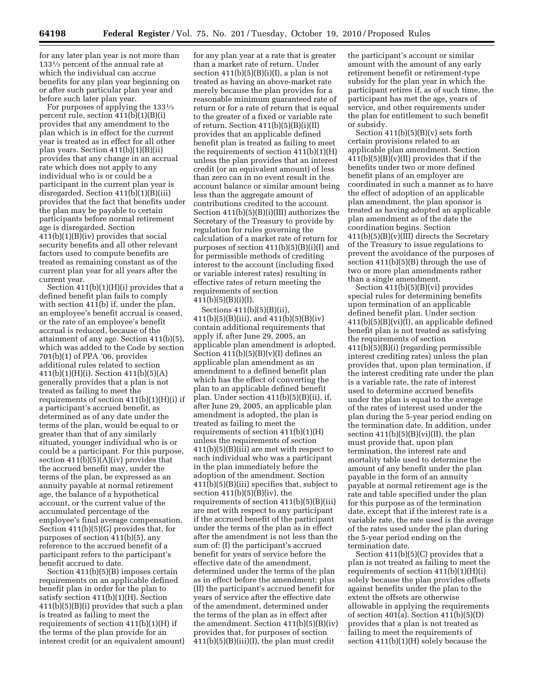for any later plan year is not more than 1331⁄3 percent of the annual rate at which the individual can accrue benefits for any plan year beginning on or after such particular plan year and before such later plan year.

For purposes of applying the 1331⁄3 percent rule, section  $411(b)(1)(B)(i)$ provides that any amendment to the plan which is in effect for the current year is treated as in effect for all other plan years. Section 411(b)(1)(B)(ii) provides that any change in an accrual rate which does not apply to any individual who is or could be a participant in the current plan year is disregarded. Section 411(b)(1)(B)(iii) provides that the fact that benefits under the plan may be payable to certain participants before normal retirement age is disregarded. Section 411(b)(1)(B)(iv) provides that social security benefits and all other relevant factors used to compute benefits are treated as remaining constant as of the current plan year for all years after the current year.

Section  $411(b)(1)(H)(i)$  provides that a defined benefit plan fails to comply with section 411(b) if, under the plan, an employee's benefit accrual is ceased, or the rate of an employee's benefit accrual is reduced, because of the attainment of any age. Section 411(b)(5), which was added to the Code by section 701(b)(1) of PPA '06, provides additional rules related to section 411(b)(1)(H)(i). Section 411(b)(5)(A) generally provides that a plan is not treated as failing to meet the requirements of section  $411(b)(1)(H)(i)$  if a participant's accrued benefit, as determined as of any date under the terms of the plan, would be equal to or greater than that of any similarly situated, younger individual who is or could be a participant. For this purpose, section  $411(b)(5)(A)(iv)$  provides that the accrued benefit may, under the terms of the plan, be expressed as an annuity payable at normal retirement age, the balance of a hypothetical account, or the current value of the accumulated percentage of the employee's final average compensation. Section 411(b)(5)(G) provides that, for purposes of section 411(b)(5), any reference to the accrued benefit of a participant refers to the participant's benefit accrued to date.

Section 411(b)(5)(B) imposes certain requirements on an applicable defined benefit plan in order for the plan to satisfy section 411(b)(1)(H). Section 411(b)(5)(B)(i) provides that such a plan is treated as failing to meet the requirements of section 411(b)(1)(H) if the terms of the plan provide for an interest credit (or an equivalent amount)

for any plan year at a rate that is greater than a market rate of return. Under section  $411(b)(5)(B)(i)(I)$ , a plan is not treated as having an above-market rate merely because the plan provides for a reasonable minimum guaranteed rate of return or for a rate of return that is equal to the greater of a fixed or variable rate of return. Section  $411(b)(5)(B)(i)(II)$ provides that an applicable defined benefit plan is treated as failing to meet the requirements of section  $411(b)(1)(H)$ unless the plan provides that an interest credit (or an equivalent amount) of less than zero can in no event result in the account balance or similar amount being less than the aggregate amount of contributions credited to the account. Section 411(b)(5)(B)(i)(III) authorizes the Secretary of the Treasury to provide by regulation for rules governing the calculation of a market rate of return for purposes of section 411(b)(5)(B)(i)(I) and for permissible methods of crediting interest to the account (including fixed or variable interest rates) resulting in effective rates of return meeting the requirements of section 411(b)(5)(B)(i)(I).

Sections 411(b)(5)(B)(ii), 411(b)(5)(B)(iii), and 411(b)(5)(B)(iv) contain additional requirements that apply if, after June 29, 2005, an applicable plan amendment is adopted. Section  $411(b)(5)(B)(v)(I)$  defines an applicable plan amendment as an amendment to a defined benefit plan which has the effect of converting the plan to an applicable defined benefit plan. Under section 411(b)(5)(B)(ii), if, after June 29, 2005, an applicable plan amendment is adopted, the plan is treated as failing to meet the requirements of section 411(b)(1)(H) unless the requirements of section 411(b)(5)(B)(iii) are met with respect to each individual who was a participant in the plan immediately before the adoption of the amendment. Section 411(b)(5)(B)(iii) specifies that, subject to section  $411(b)(5)(B)(iv)$ , the requirements of section  $411(b)(5)(B)(iii)$ are met with respect to any participant if the accrued benefit of the participant under the terms of the plan as in effect after the amendment is not less than the sum of: (I) the participant's accrued benefit for years of service before the effective date of the amendment, determined under the terms of the plan as in effect before the amendment; plus (II) the participant's accrued benefit for years of service after the effective date of the amendment, determined under the terms of the plan as in effect after the amendment. Section 411(b)(5)(B)(iv) provides that, for purposes of section 411(b)(5)(B)(iii)(I), the plan must credit

the participant's account or similar amount with the amount of any early retirement benefit or retirement-type subsidy for the plan year in which the participant retires if, as of such time, the participant has met the age, years of service, and other requirements under the plan for entitlement to such benefit or subsidy.

Section  $411(b)(5)(B)(v)$  sets forth certain provisions related to an applicable plan amendment. Section  $411(b)(5)(B)(v)(II)$  provides that if the benefits under two or more defined benefit plans of an employer are coordinated in such a manner as to have the effect of adoption of an applicable plan amendment, the plan sponsor is treated as having adopted an applicable plan amendment as of the date the coordination begins. Section  $411(b)(5)(B)(v)(III)$  directs the Secretary of the Treasury to issue regulations to prevent the avoidance of the purposes of section 411(b)(5)(B) through the use of two or more plan amendments rather than a single amendment.

Section 411(b)(5)(B)(vi) provides special rules for determining benefits upon termination of an applicable defined benefit plan. Under section 411(b)(5)(B)(vi)(I), an applicable defined benefit plan is not treated as satisfying the requirements of section 411(b)(5)(B)(i) (regarding permissible interest crediting rates) unless the plan provides that, upon plan termination, if the interest crediting rate under the plan is a variable rate, the rate of interest used to determine accrued benefits under the plan is equal to the average of the rates of interest used under the plan during the 5-year period ending on the termination date. In addition, under section  $411(b)(5)(B)(vi)(II)$ , the plan must provide that, upon plan termination, the interest rate and mortality table used to determine the amount of any benefit under the plan payable in the form of an annuity payable at normal retirement age is the rate and table specified under the plan for this purpose as of the termination date, except that if the interest rate is a variable rate, the rate used is the average of the rates used under the plan during the 5-year period ending on the termination date.

Section 411(b)(5)(C) provides that a plan is not treated as failing to meet the requirements of section 411(b)(1)(H)(i) solely because the plan provides offsets against benefits under the plan to the extent the offsets are otherwise allowable in applying the requirements of section 401(a). Section 411(b)(5)(D) provides that a plan is not treated as failing to meet the requirements of section 411(b)(1)(H) solely because the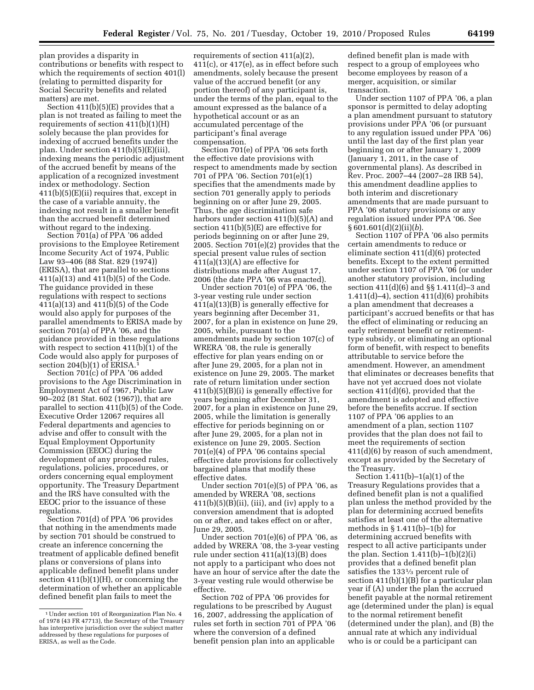plan provides a disparity in contributions or benefits with respect to which the requirements of section 401(l) (relating to permitted disparity for Social Security benefits and related matters) are met.

Section 411(b)(5)(E) provides that a plan is not treated as failing to meet the requirements of section 411(b)(1)(H) solely because the plan provides for indexing of accrued benefits under the plan. Under section 411(b)(5)(E)(iii), indexing means the periodic adjustment of the accrued benefit by means of the application of a recognized investment index or methodology. Section 411(b)(5)(E)(ii) requires that, except in the case of a variable annuity, the indexing not result in a smaller benefit than the accrued benefit determined without regard to the indexing.

Section 701(a) of PPA '06 added provisions to the Employee Retirement Income Security Act of 1974, Public Law 93–406 (88 Stat. 829 (1974)) (ERISA), that are parallel to sections 411(a)(13) and 411(b)(5) of the Code. The guidance provided in these regulations with respect to sections 411(a)(13) and 411(b)(5) of the Code would also apply for purposes of the parallel amendments to ERISA made by section 701(a) of PPA '06, and the guidance provided in these regulations with respect to section 411(b)(1) of the Code would also apply for purposes of section  $204(b)(1)$  of ERISA.<sup>1</sup>

Section 701(c) of PPA '06 added provisions to the Age Discrimination in Employment Act of 1967, Public Law 90–202 (81 Stat. 602 (1967)), that are parallel to section 411(b)(5) of the Code. Executive Order 12067 requires all Federal departments and agencies to advise and offer to consult with the Equal Employment Opportunity Commission (EEOC) during the development of any proposed rules, regulations, policies, procedures, or orders concerning equal employment opportunity. The Treasury Department and the IRS have consulted with the EEOC prior to the issuance of these regulations.

Section 701(d) of PPA '06 provides that nothing in the amendments made by section 701 should be construed to create an inference concerning the treatment of applicable defined benefit plans or conversions of plans into applicable defined benefit plans under section  $411(b)(1)(H)$ , or concerning the determination of whether an applicable defined benefit plan fails to meet the

requirements of section 411(a)(2), 411(c), or 417(e), as in effect before such amendments, solely because the present value of the accrued benefit (or any portion thereof) of any participant is, under the terms of the plan, equal to the amount expressed as the balance of a hypothetical account or as an accumulated percentage of the participant's final average compensation.

Section 701(e) of PPA '06 sets forth the effective date provisions with respect to amendments made by section 701 of PPA '06. Section 701(e)(1) specifies that the amendments made by section 701 generally apply to periods beginning on or after June 29, 2005. Thus, the age discrimination safe harbors under section 411(b)(5)(A) and section 411(b)(5)(E) are effective for periods beginning on or after June 29, 2005. Section 701(e)(2) provides that the special present value rules of section  $411(a)(13)(A)$  are effective for distributions made after August 17, 2006 (the date PPA '06 was enacted).

Under section 701(e) of PPA '06, the 3-year vesting rule under section 411(a)(13)(B) is generally effective for years beginning after December 31, 2007, for a plan in existence on June 29, 2005, while, pursuant to the amendments made by section 107(c) of WRERA '08, the rule is generally effective for plan years ending on or after June 29, 2005, for a plan not in existence on June 29, 2005. The market rate of return limitation under section 411(b)(5)(B)(i) is generally effective for years beginning after December 31, 2007, for a plan in existence on June 29, 2005, while the limitation is generally effective for periods beginning on or after June 29, 2005, for a plan not in existence on June 29, 2005. Section 701(e)(4) of PPA '06 contains special effective date provisions for collectively bargained plans that modify these effective dates.

Under section 701(e)(5) of PPA '06, as amended by WRERA '08, sections  $411(b)(5)(B)(ii)$ , (iii), and (iv) apply to a conversion amendment that is adopted on or after, and takes effect on or after, June 29, 2005.

Under section 701(e)(6) of PPA '06, as added by WRERA '08, the 3-year vesting rule under section 411(a)(13)(B) does not apply to a participant who does not have an hour of service after the date the 3-year vesting rule would otherwise be effective.

Section 702 of PPA '06 provides for regulations to be prescribed by August 16, 2007, addressing the application of rules set forth in section 701 of PPA '06 where the conversion of a defined benefit pension plan into an applicable

defined benefit plan is made with respect to a group of employees who become employees by reason of a merger, acquisition, or similar transaction.

Under section 1107 of PPA '06, a plan sponsor is permitted to delay adopting a plan amendment pursuant to statutory provisions under PPA '06 (or pursuant to any regulation issued under PPA '06) until the last day of the first plan year beginning on or after January 1, 2009 (January 1, 2011, in the case of governmental plans). As described in Rev. Proc. 2007–44 (2007–28 IRB 54), this amendment deadline applies to both interim and discretionary amendments that are made pursuant to PPA '06 statutory provisions or any regulation issued under PPA '06. See § 601.601(d)(2)(ii)(*b*).

Section 1107 of PPA '06 also permits certain amendments to reduce or eliminate section 411(d)(6) protected benefits. Except to the extent permitted under section 1107 of PPA '06 (or under another statutory provision, including section 411(d)(6) and §§ 1.411(d)–3 and 1.411(d)–4), section 411(d)(6) prohibits a plan amendment that decreases a participant's accrued benefits or that has the effect of eliminating or reducing an early retirement benefit or retirementtype subsidy, or eliminating an optional form of benefit, with respect to benefits attributable to service before the amendment. However, an amendment that eliminates or decreases benefits that have not yet accrued does not violate section 411(d)(6), provided that the amendment is adopted and effective before the benefits accrue. If section 1107 of PPA '06 applies to an amendment of a plan, section 1107 provides that the plan does not fail to meet the requirements of section 411(d)(6) by reason of such amendment, except as provided by the Secretary of the Treasury.

Section 1.411(b)–1(a)(1) of the Treasury Regulations provides that a defined benefit plan is not a qualified plan unless the method provided by the plan for determining accrued benefits satisfies at least one of the alternative methods in  $\S 1.411(b)-1(b)$  for determining accrued benefits with respect to all active participants under the plan. Section  $1.411(b)-1(b)(2)(i)$ provides that a defined benefit plan satisfies the 1331⁄3 percent rule of section  $411(b)(1)(B)$  for a particular plan year if (A) under the plan the accrued benefit payable at the normal retirement age (determined under the plan) is equal to the normal retirement benefit (determined under the plan), and (B) the annual rate at which any individual who is or could be a participant can

<sup>&</sup>lt;sup>1</sup> Under section 101 of Reorganization Plan No. 4 of 1978 (43 FR 47713), the Secretary of the Treasury has interpretive jurisdiction over the subject matter addressed by these regulations for purposes of ERISA, as well as the Code.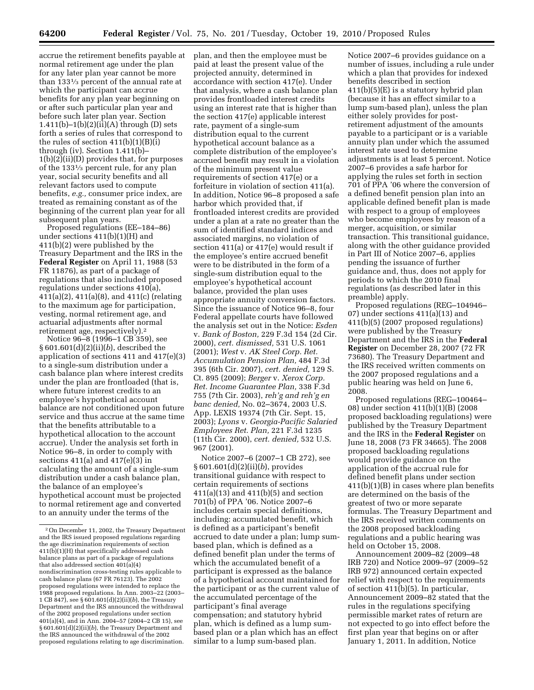accrue the retirement benefits payable at normal retirement age under the plan for any later plan year cannot be more than 1331⁄3 percent of the annual rate at which the participant can accrue benefits for any plan year beginning on or after such particular plan year and before such later plan year. Section 1.411(b)–1(b)(2)(ii)(A) through (D) sets forth a series of rules that correspond to the rules of section  $411(b)(1)(B)(i)$ through (iv). Section 1.411(b)– 1(b)(2)(ii)(D) provides that, for purposes of the 1331⁄3 percent rule, for any plan year, social security benefits and all relevant factors used to compute benefits, *e.g.,* consumer price index, are treated as remaining constant as of the beginning of the current plan year for all subsequent plan years.

Proposed regulations (EE–184–86) under sections 411(b)(1)(H) and 411(b)(2) were published by the Treasury Department and the IRS in the **Federal Register** on April 11, 1988 (53 FR 11876), as part of a package of regulations that also included proposed regulations under sections 410(a), 411(a)(2), 411(a)(8), and 411(c) (relating to the maximum age for participation, vesting, normal retirement age, and actuarial adjustments after normal retirement age, respectively).2

Notice 96–8 (1996–1 CB 359), see § 601.601(d)(2)(ii)(*b*), described the application of sections 411 and 417(e)(3) to a single-sum distribution under a cash balance plan where interest credits under the plan are frontloaded (that is, where future interest credits to an employee's hypothetical account balance are not conditioned upon future service and thus accrue at the same time that the benefits attributable to a hypothetical allocation to the account accrue). Under the analysis set forth in Notice 96–8, in order to comply with sections  $411(a)$  and  $417(e)(3)$  in calculating the amount of a single-sum distribution under a cash balance plan, the balance of an employee's hypothetical account must be projected to normal retirement age and converted to an annuity under the terms of the

plan, and then the employee must be paid at least the present value of the projected annuity, determined in accordance with section 417(e). Under that analysis, where a cash balance plan provides frontloaded interest credits using an interest rate that is higher than the section 417(e) applicable interest rate, payment of a single-sum distribution equal to the current hypothetical account balance as a complete distribution of the employee's accrued benefit may result in a violation of the minimum present value requirements of section 417(e) or a forfeiture in violation of section 411(a). In addition, Notice 96–8 proposed a safe harbor which provided that, if frontloaded interest credits are provided under a plan at a rate no greater than the sum of identified standard indices and associated margins, no violation of section 411(a) or 417(e) would result if the employee's entire accrued benefit were to be distributed in the form of a single-sum distribution equal to the employee's hypothetical account balance, provided the plan uses appropriate annuity conversion factors. Since the issuance of Notice 96–8, four Federal appellate courts have followed the analysis set out in the Notice: *Esden*  v. *Bank of Boston,* 229 F.3d 154 (2d Cir. 2000), *cert. dismissed,* 531 U.S. 1061 (2001); *West* v. *AK Steel Corp. Ret. Accumulation Pension Plan,* 484 F.3d 395 (6th Cir. 2007), *cert. denied,* 129 S. Ct. 895 (2009); *Berger* v. *Xerox Corp. Ret. Income Guarantee Plan,* 338 F.3d 755 (7th Cir. 2003), *reh'g and reh'g en banc denied,* No. 02–3674, 2003 U.S. App. LEXIS 19374 (7th Cir. Sept. 15, 2003); *Lyons* v. *Georgia-Pacific Salaried Employees Ret. Plan,* 221 F.3d 1235 (11th Cir. 2000), *cert. denied,* 532 U.S. 967 (2001).

Notice 2007–6 (2007–1 CB 272), see § 601.601(d)(2)(ii)(*b*), provides transitional guidance with respect to certain requirements of sections 411(a)(13) and 411(b)(5) and section 701(b) of PPA '06. Notice 2007–6 includes certain special definitions, including: accumulated benefit, which is defined as a participant's benefit accrued to date under a plan; lump sumbased plan, which is defined as a defined benefit plan under the terms of which the accumulated benefit of a participant is expressed as the balance of a hypothetical account maintained for the participant or as the current value of the accumulated percentage of the participant's final average compensation; and statutory hybrid plan, which is defined as a lump sumbased plan or a plan which has an effect similar to a lump sum-based plan.

Notice 2007–6 provides guidance on a number of issues, including a rule under which a plan that provides for indexed benefits described in section 411(b)(5)(E) is a statutory hybrid plan (because it has an effect similar to a lump sum-based plan), unless the plan either solely provides for postretirement adjustment of the amounts payable to a participant or is a variable annuity plan under which the assumed interest rate used to determine adjustments is at least 5 percent. Notice 2007–6 provides a safe harbor for applying the rules set forth in section 701 of PPA '06 where the conversion of a defined benefit pension plan into an applicable defined benefit plan is made with respect to a group of employees who become employees by reason of a merger, acquisition, or similar transaction. This transitional guidance, along with the other guidance provided in Part III of Notice 2007–6, applies pending the issuance of further guidance and, thus, does not apply for periods to which the 2010 final regulations (as described later in this preamble) apply.

Proposed regulations (REG–104946– 07) under sections 411(a)(13) and 411(b)(5) (2007 proposed regulations) were published by the Treasury Department and the IRS in the **Federal Register** on December 28, 2007 (72 FR 73680). The Treasury Department and the IRS received written comments on the 2007 proposed regulations and a public hearing was held on June 6, 2008.

Proposed regulations (REG–100464– 08) under section 411(b)(1)(B) (2008 proposed backloading regulations) were published by the Treasury Department and the IRS in the **Federal Register** on June 18, 2008 (73 FR 34665). The 2008 proposed backloading regulations would provide guidance on the application of the accrual rule for defined benefit plans under section 411(b)(1)(B) in cases where plan benefits are determined on the basis of the greatest of two or more separate formulas. The Treasury Department and the IRS received written comments on the 2008 proposed backloading regulations and a public hearing was held on October 15, 2008.

Announcement 2009–82 (2009–48 IRB 720) and Notice 2009–97 (2009–52 IRB 972) announced certain expected relief with respect to the requirements of section 411(b)(5). In particular, Announcement 2009–82 stated that the rules in the regulations specifying permissible market rates of return are not expected to go into effect before the first plan year that begins on or after January 1, 2011. In addition, Notice

<sup>2</sup>On December 11, 2002, the Treasury Department and the IRS issued proposed regulations regarding the age discrimination requirements of section 411(b)(1)(H) that specifically addressed cash balance plans as part of a package of regulations that also addressed section 401(a)(4) nondiscrimination cross-testing rules applicable to cash balance plans (67 FR 76123). The  $2002$ proposed regulations were intended to replace the 1988 proposed regulations. In Ann. 2003–22 (2003– 1 CB 847), see § 601.601(d)(2)(ii)(*b*), the Treasury Department and the IRS announced the withdrawal of the 2002 proposed regulations under section 401(a)(4), and in Ann. 2004–57 (2004–2 CB 15), see § 601.601(d)(2)(ii)(*b*), the Treasury Department and the IRS announced the withdrawal of the 2002 proposed regulations relating to age discrimination.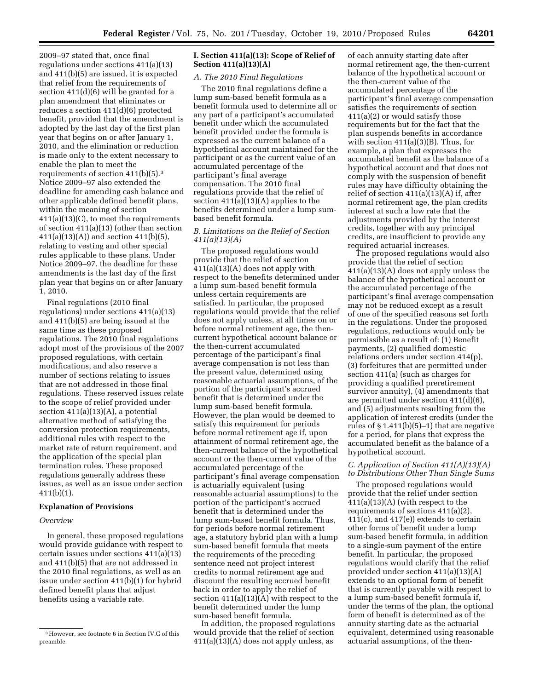2009–97 stated that, once final regulations under sections 411(a)(13) and 411(b)(5) are issued, it is expected that relief from the requirements of section 411(d)(6) will be granted for a plan amendment that eliminates or reduces a section 411(d)(6) protected benefit, provided that the amendment is adopted by the last day of the first plan year that begins on or after January 1, 2010, and the elimination or reduction is made only to the extent necessary to enable the plan to meet the requirements of section 411(b)(5).3 Notice 2009–97 also extended the deadline for amending cash balance and other applicable defined benefit plans, within the meaning of section 411(a)(13)(C), to meet the requirements of section 411(a)(13) (other than section 411(a)(13)(A)) and section 411(b)(5), relating to vesting and other special rules applicable to these plans. Under Notice 2009–97, the deadline for these amendments is the last day of the first plan year that begins on or after January 1, 2010.

Final regulations (2010 final regulations) under sections 411(a)(13) and 411(b)(5) are being issued at the same time as these proposed regulations. The 2010 final regulations adopt most of the provisions of the 2007 proposed regulations, with certain modifications, and also reserve a number of sections relating to issues that are not addressed in those final regulations. These reserved issues relate to the scope of relief provided under section  $411(a)(13)(A)$ , a potential alternative method of satisfying the conversion protection requirements, additional rules with respect to the market rate of return requirement, and the application of the special plan termination rules. These proposed regulations generally address these issues, as well as an issue under section 411(b)(1).

#### **Explanation of Provisions**

#### *Overview*

In general, these proposed regulations would provide guidance with respect to certain issues under sections 411(a)(13) and 411(b)(5) that are not addressed in the 2010 final regulations, as well as an issue under section 411(b)(1) for hybrid defined benefit plans that adjust benefits using a variable rate.

## **I. Section 411(a)(13): Scope of Relief of Section 411(a)(13)(A)**

# *A. The 2010 Final Regulations*

The 2010 final regulations define a lump sum-based benefit formula as a benefit formula used to determine all or any part of a participant's accumulated benefit under which the accumulated benefit provided under the formula is expressed as the current balance of a hypothetical account maintained for the participant or as the current value of an accumulated percentage of the participant's final average compensation. The 2010 final regulations provide that the relief of section 411(a)(13)(A) applies to the benefits determined under a lump sumbased benefit formula.

## *B. Limitations on the Relief of Section 411(a)(13)(A)*

The proposed regulations would provide that the relief of section  $411(a)(13)(A)$  does not apply with respect to the benefits determined under a lump sum-based benefit formula unless certain requirements are satisfied. In particular, the proposed regulations would provide that the relief does not apply unless, at all times on or before normal retirement age, the thencurrent hypothetical account balance or the then-current accumulated percentage of the participant's final average compensation is not less than the present value, determined using reasonable actuarial assumptions, of the portion of the participant's accrued benefit that is determined under the lump sum-based benefit formula. However, the plan would be deemed to satisfy this requirement for periods before normal retirement age if, upon attainment of normal retirement age, the then-current balance of the hypothetical account or the then-current value of the accumulated percentage of the participant's final average compensation is actuarially equivalent (using reasonable actuarial assumptions) to the portion of the participant's accrued benefit that is determined under the lump sum-based benefit formula. Thus, for periods before normal retirement age, a statutory hybrid plan with a lump sum-based benefit formula that meets the requirements of the preceding sentence need not project interest credits to normal retirement age and discount the resulting accrued benefit back in order to apply the relief of section 411(a)(13)(A) with respect to the benefit determined under the lump sum-based benefit formula.

In addition, the proposed regulations would provide that the relief of section  $411(a)(13)(A)$  does not apply unless, as

of each annuity starting date after normal retirement age, the then-current balance of the hypothetical account or the then-current value of the accumulated percentage of the participant's final average compensation satisfies the requirements of section 411(a)(2) or would satisfy those requirements but for the fact that the plan suspends benefits in accordance with section  $411(a)(3)(B)$ . Thus, for example, a plan that expresses the accumulated benefit as the balance of a hypothetical account and that does not comply with the suspension of benefit rules may have difficulty obtaining the relief of section 411(a)(13)(A) if, after normal retirement age, the plan credits interest at such a low rate that the adjustments provided by the interest credits, together with any principal credits, are insufficient to provide any required actuarial increases.

The proposed regulations would also provide that the relief of section 411(a)(13)(A) does not apply unless the balance of the hypothetical account or the accumulated percentage of the participant's final average compensation may not be reduced except as a result of one of the specified reasons set forth in the regulations. Under the proposed regulations, reductions would only be permissible as a result of: (1) Benefit payments, (2) qualified domestic relations orders under section 414(p), (3) forfeitures that are permitted under section 411(a) (such as charges for providing a qualified preretirement survivor annuity), (4) amendments that are permitted under section 411(d)(6), and (5) adjustments resulting from the application of interest credits (under the rules of  $\S 1.411(b)(5)-1$ ) that are negative for a period, for plans that express the accumulated benefit as the balance of a hypothetical account.

#### *C. Application of Section 411(A)(13)(A) to Distributions Other Than Single Sums*

The proposed regulations would provide that the relief under section  $411(a)(13)(A)$  (with respect to the requirements of sections 411(a)(2), 411(c), and 417(e)) extends to certain other forms of benefit under a lump sum-based benefit formula, in addition to a single-sum payment of the entire benefit. In particular, the proposed regulations would clarify that the relief provided under section 411(a)(13)(A) extends to an optional form of benefit that is currently payable with respect to a lump sum-based benefit formula if, under the terms of the plan, the optional form of benefit is determined as of the annuity starting date as the actuarial equivalent, determined using reasonable actuarial assumptions, of the then-

<sup>3</sup>However, see footnote 6 in Section IV.C of this preamble.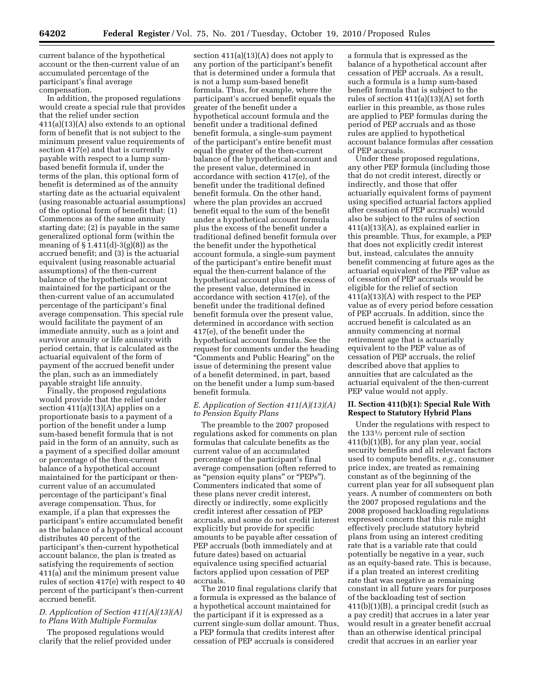current balance of the hypothetical account or the then-current value of an accumulated percentage of the participant's final average compensation.

In addition, the proposed regulations would create a special rule that provides that the relief under section 411(a)(13)(A) also extends to an optional form of benefit that is not subject to the minimum present value requirements of section 417(e) and that is currently payable with respect to a lump sumbased benefit formula if, under the terms of the plan, this optional form of benefit is determined as of the annuity starting date as the actuarial equivalent (using reasonable actuarial assumptions) of the optional form of benefit that: (1) Commences as of the same annuity starting date; (2) is payable in the same generalized optional form (within the meaning of  $\S 1.411(d)-3(g)(8)$  as the accrued benefit; and (3) is the actuarial equivalent (using reasonable actuarial assumptions) of the then-current balance of the hypothetical account maintained for the participant or the then-current value of an accumulated percentage of the participant's final average compensation. This special rule would facilitate the payment of an immediate annuity, such as a joint and survivor annuity or life annuity with period certain, that is calculated as the actuarial equivalent of the form of payment of the accrued benefit under the plan, such as an immediately payable straight life annuity.

Finally, the proposed regulations would provide that the relief under section 411(a)(13)(A) applies on a proportionate basis to a payment of a portion of the benefit under a lump sum-based benefit formula that is not paid in the form of an annuity, such as a payment of a specified dollar amount or percentage of the then-current balance of a hypothetical account maintained for the participant or thencurrent value of an accumulated percentage of the participant's final average compensation. Thus, for example, if a plan that expresses the participant's entire accumulated benefit as the balance of a hypothetical account distributes 40 percent of the participant's then-current hypothetical account balance, the plan is treated as satisfying the requirements of section 411(a) and the minimum present value rules of section 417(e) with respect to 40 percent of the participant's then-current accrued benefit.

## *D. Application of Section 411(A)(13)(A) to Plans With Multiple Formulas*

The proposed regulations would clarify that the relief provided under

section 411(a)(13)(A) does not apply to any portion of the participant's benefit that is determined under a formula that is not a lump sum-based benefit formula. Thus, for example, where the participant's accrued benefit equals the greater of the benefit under a hypothetical account formula and the benefit under a traditional defined benefit formula, a single-sum payment of the participant's entire benefit must equal the greater of the then-current balance of the hypothetical account and the present value, determined in accordance with section 417(e), of the benefit under the traditional defined benefit formula. On the other hand, where the plan provides an accrued benefit equal to the sum of the benefit under a hypothetical account formula plus the excess of the benefit under a traditional defined benefit formula over the benefit under the hypothetical account formula, a single-sum payment of the participant's entire benefit must equal the then-current balance of the hypothetical account plus the excess of the present value, determined in accordance with section 417(e), of the benefit under the traditional defined benefit formula over the present value, determined in accordance with section 417(e), of the benefit under the hypothetical account formula. See the request for comments under the heading ''Comments and Public Hearing'' on the issue of determining the present value of a benefit determined, in part, based on the benefit under a lump sum-based benefit formula.

#### *E. Application of Section 411(A)(13)(A) to Pension Equity Plans*

The preamble to the 2007 proposed regulations asked for comments on plan formulas that calculate benefits as the current value of an accumulated percentage of the participant's final average compensation (often referred to as "pension equity plans" or "PEPs"). Commenters indicated that some of these plans never credit interest, directly or indirectly, some explicitly credit interest after cessation of PEP accruals, and some do not credit interest explicitly but provide for specific amounts to be payable after cessation of PEP accruals (both immediately and at future dates) based on actuarial equivalence using specified actuarial factors applied upon cessation of PEP accruals.

The 2010 final regulations clarify that a formula is expressed as the balance of a hypothetical account maintained for the participant if it is expressed as a current single-sum dollar amount. Thus, a PEP formula that credits interest after cessation of PEP accruals is considered

a formula that is expressed as the balance of a hypothetical account after cessation of PEP accruals. As a result, such a formula is a lump sum-based benefit formula that is subject to the rules of section 411(a)(13)(A) set forth earlier in this preamble, as those rules are applied to PEP formulas during the period of PEP accruals and as those rules are applied to hypothetical account balance formulas after cessation of PEP accruals.

Under these proposed regulations, any other PEP formula (including those that do not credit interest, directly or indirectly, and those that offer actuarially equivalent forms of payment using specified actuarial factors applied after cessation of PEP accruals) would also be subject to the rules of section 411(a)(13)(A), as explained earlier in this preamble. Thus, for example, a PEP that does not explicitly credit interest but, instead, calculates the annuity benefit commencing at future ages as the actuarial equivalent of the PEP value as of cessation of PEP accruals would be eligible for the relief of section 411(a)(13)(A) with respect to the PEP value as of every period before cessation of PEP accruals. In addition, since the accrued benefit is calculated as an annuity commencing at normal retirement age that is actuarially equivalent to the PEP value as of cessation of PEP accruals, the relief described above that applies to annuities that are calculated as the actuarial equivalent of the then-current PEP value would not apply.

### **II. Section 411(b)(1): Special Rule With Respect to Statutory Hybrid Plans**

Under the regulations with respect to the 1331⁄3 percent rule of section 411(b)(1)(B), for any plan year, social security benefits and all relevant factors used to compute benefits, *e.g.,* consumer price index, are treated as remaining constant as of the beginning of the current plan year for all subsequent plan years. A number of commenters on both the 2007 proposed regulations and the 2008 proposed backloading regulations expressed concern that this rule might effectively preclude statutory hybrid plans from using an interest crediting rate that is a variable rate that could potentially be negative in a year, such as an equity-based rate. This is because, if a plan treated an interest crediting rate that was negative as remaining constant in all future years for purposes of the backloading test of section 411(b)(1)(B), a principal credit (such as a pay credit) that accrues in a later year would result in a greater benefit accrual than an otherwise identical principal credit that accrues in an earlier year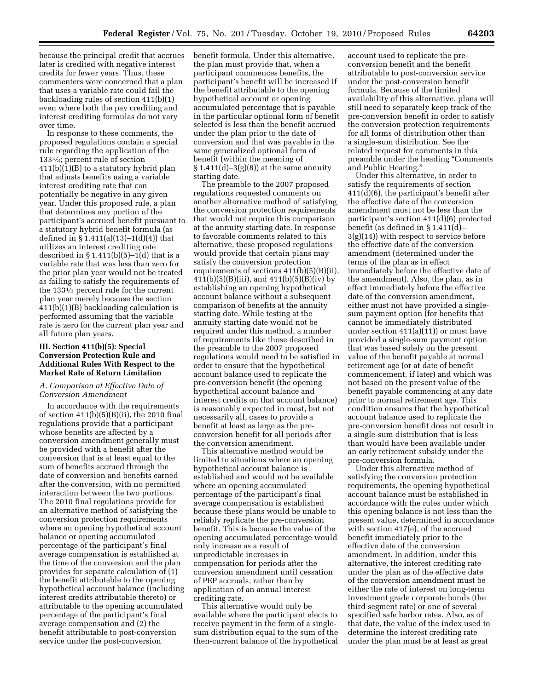because the principal credit that accrues later is credited with negative interest credits for fewer years. Thus, these commenters were concerned that a plan that uses a variable rate could fail the backloading rules of section 411(b)(1) even where both the pay crediting and interest crediting formulas do not vary over time.

In response to these comments, the proposed regulations contain a special rule regarding the application of the 1331⁄3; percent rule of section  $411(b)(1)(B)$  to a statutory hybrid plan that adjusts benefits using a variable interest crediting rate that can potentially be negative in any given year. Under this proposed rule, a plan that determines any portion of the participant's accrued benefit pursuant to a statutory hybrid benefit formula (as defined in  $\S 1.411(a)(13)-1(d)(4)$  that utilizes an interest crediting rate described in  $\S 1.411(b)(5)-1(d)$  that is a variable rate that was less than zero for the prior plan year would not be treated as failing to satisfy the requirements of the 1331⁄3 percent rule for the current plan year merely because the section 411(b)(1)(B) backloading calculation is performed assuming that the variable rate is zero for the current plan year and all future plan years.

#### **III. Section 411(b)(5): Special Conversion Protection Rule and Additional Rules With Respect to the Market Rate of Return Limitation**

#### *A. Comparison at Effective Date of Conversion Amendment*

In accordance with the requirements of section  $411(b)(5)(B)(ii)$ , the 2010 final regulations provide that a participant whose benefits are affected by a conversion amendment generally must be provided with a benefit after the conversion that is at least equal to the sum of benefits accrued through the date of conversion and benefits earned after the conversion, with no permitted interaction between the two portions. The 2010 final regulations provide for an alternative method of satisfying the conversion protection requirements where an opening hypothetical account balance or opening accumulated percentage of the participant's final average compensation is established at the time of the conversion and the plan provides for separate calculation of (1) the benefit attributable to the opening hypothetical account balance (including interest credits attributable thereto) or attributable to the opening accumulated percentage of the participant's final average compensation and (2) the benefit attributable to post-conversion service under the post-conversion

benefit formula. Under this alternative, the plan must provide that, when a participant commences benefits, the participant's benefit will be increased if the benefit attributable to the opening hypothetical account or opening accumulated percentage that is payable in the particular optional form of benefit selected is less than the benefit accrued under the plan prior to the date of conversion and that was payable in the same generalized optional form of benefit (within the meaning of  $§ 1.411(d) - 3(g)(8)]$  at the same annuity starting date.

The preamble to the 2007 proposed regulations requested comments on another alternative method of satisfying the conversion protection requirements that would not require this comparison at the annuity starting date. In response to favorable comments related to this alternative, these proposed regulations would provide that certain plans may satisfy the conversion protection requirements of sections 411(b)(5)(B)(ii), 411(b)(5)(B)(iii), and 411(b)(5)(B)(iv) by establishing an opening hypothetical account balance without a subsequent comparison of benefits at the annuity starting date. While testing at the annuity starting date would not be required under this method, a number of requirements like those described in the preamble to the 2007 proposed regulations would need to be satisfied in order to ensure that the hypothetical account balance used to replicate the pre-conversion benefit (the opening hypothetical account balance and interest credits on that account balance) is reasonably expected in most, but not necessarily all, cases to provide a benefit at least as large as the preconversion benefit for all periods after the conversion amendment.

This alternative method would be limited to situations where an opening hypothetical account balance is established and would not be available where an opening accumulated percentage of the participant's final average compensation is established because these plans would be unable to reliably replicate the pre-conversion benefit. This is because the value of the opening accumulated percentage would only increase as a result of unpredictable increases in compensation for periods after the conversion amendment until cessation of PEP accruals, rather than by application of an annual interest crediting rate.

This alternative would only be available where the participant elects to receive payment in the form of a singlesum distribution equal to the sum of the then-current balance of the hypothetical

account used to replicate the preconversion benefit and the benefit attributable to post-conversion service under the post-conversion benefit formula. Because of the limited availability of this alternative, plans will still need to separately keep track of the pre-conversion benefit in order to satisfy the conversion protection requirements for all forms of distribution other than a single-sum distribution. See the related request for comments in this preamble under the heading ''Comments and Public Hearing.''

Under this alternative, in order to satisfy the requirements of section 411(d)(6), the participant's benefit after the effective date of the conversion amendment must not be less than the participant's section 411(d)(6) protected benefit (as defined in § 1.411(d)– 3(g)(14)) with respect to service before the effective date of the conversion amendment (determined under the terms of the plan as in effect immediately before the effective date of the amendment). Also, the plan, as in effect immediately before the effective date of the conversion amendment, either must not have provided a singlesum payment option (for benefits that cannot be immediately distributed under section 411(a)(11)) or must have provided a single-sum payment option that was based solely on the present value of the benefit payable at normal retirement age (or at date of benefit commencement, if later) and which was not based on the present value of the benefit payable commencing at any date prior to normal retirement age. This condition ensures that the hypothetical account balance used to replicate the pre-conversion benefit does not result in a single-sum distribution that is less than would have been available under an early retirement subsidy under the pre-conversion formula.

Under this alternative method of satisfying the conversion protection requirements, the opening hypothetical account balance must be established in accordance with the rules under which this opening balance is not less than the present value, determined in accordance with section 417(e), of the accrued benefit immediately prior to the effective date of the conversion amendment. In addition, under this alternative, the interest crediting rate under the plan as of the effective date of the conversion amendment must be either the rate of interest on long-term investment grade corporate bonds (the third segment rate) or one of several specified safe harbor rates. Also, as of that date, the value of the index used to determine the interest crediting rate under the plan must be at least as great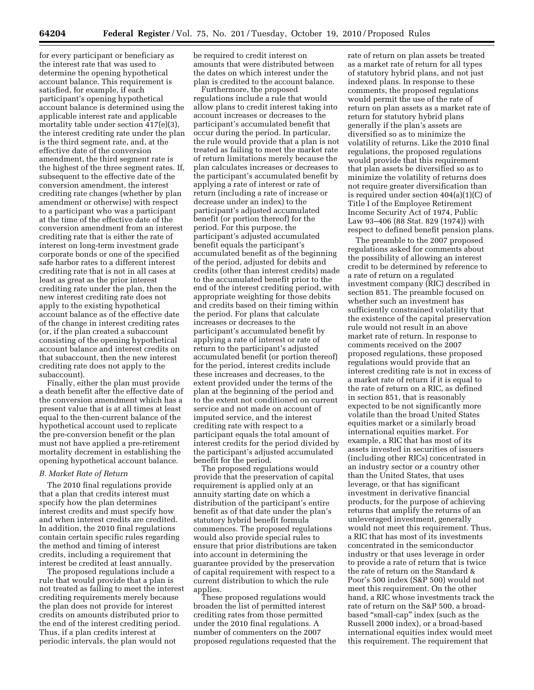for every participant or beneficiary as the interest rate that was used to determine the opening hypothetical account balance. This requirement is satisfied, for example, if each participant's opening hypothetical account balance is determined using the applicable interest rate and applicable mortality table under section 417(e)(3), the interest crediting rate under the plan is the third segment rate, and, at the effective date of the conversion amendment, the third segment rate is the highest of the three segment rates. If, subsequent to the effective date of the conversion amendment, the interest crediting rate changes (whether by plan amendment or otherwise) with respect to a participant who was a participant at the time of the effective date of the conversion amendment from an interest crediting rate that is either the rate of interest on long-term investment grade corporate bonds or one of the specified safe harbor rates to a different interest crediting rate that is not in all cases at least as great as the prior interest crediting rate under the plan, then the new interest crediting rate does not apply to the existing hypothetical

account balance as of the effective date of the change in interest crediting rates (or, if the plan created a subaccount consisting of the opening hypothetical account balance and interest credits on that subaccount, then the new interest crediting rate does not apply to the subaccount).

Finally, either the plan must provide a death benefit after the effective date of the conversion amendment which has a present value that is at all times at least equal to the then-current balance of the hypothetical account used to replicate the pre-conversion benefit or the plan must not have applied a pre-retirement mortality decrement in establishing the opening hypothetical account balance.

#### *B. Market Rate of Return*

The 2010 final regulations provide that a plan that credits interest must specify how the plan determines interest credits and must specify how and when interest credits are credited. In addition, the 2010 final regulations contain certain specific rules regarding the method and timing of interest credits, including a requirement that interest be credited at least annually.

The proposed regulations include a rule that would provide that a plan is not treated as failing to meet the interest crediting requirements merely because the plan does not provide for interest credits on amounts distributed prior to the end of the interest crediting period. Thus, if a plan credits interest at periodic intervals, the plan would not

be required to credit interest on amounts that were distributed between the dates on which interest under the plan is credited to the account balance.

Furthermore, the proposed regulations include a rule that would allow plans to credit interest taking into account increases or decreases to the participant's accumulated benefit that occur during the period. In particular, the rule would provide that a plan is not treated as failing to meet the market rate of return limitations merely because the plan calculates increases or decreases to the participant's accumulated benefit by applying a rate of interest or rate of return (including a rate of increase or decrease under an index) to the participant's adjusted accumulated benefit (or portion thereof) for the period. For this purpose, the participant's adjusted accumulated benefit equals the participant's accumulated benefit as of the beginning of the period, adjusted for debits and credits (other than interest credits) made to the accumulated benefit prior to the end of the interest crediting period, with appropriate weighting for those debits and credits based on their timing within the period. For plans that calculate increases or decreases to the participant's accumulated benefit by applying a rate of interest or rate of return to the participant's adjusted accumulated benefit (or portion thereof) for the period, interest credits include these increases and decreases, to the extent provided under the terms of the plan at the beginning of the period and to the extent not conditioned on current service and not made on account of imputed service, and the interest crediting rate with respect to a participant equals the total amount of interest credits for the period divided by the participant's adjusted accumulated benefit for the period.

The proposed regulations would provide that the preservation of capital requirement is applied only at an annuity starting date on which a distribution of the participant's entire benefit as of that date under the plan's statutory hybrid benefit formula commences. The proposed regulations would also provide special rules to ensure that prior distributions are taken into account in determining the guarantee provided by the preservation of capital requirement with respect to a current distribution to which the rule applies.

These proposed regulations would broaden the list of permitted interest crediting rates from those permitted under the 2010 final regulations. A number of commenters on the 2007 proposed regulations requested that the

rate of return on plan assets be treated as a market rate of return for all types of statutory hybrid plans, and not just indexed plans. In response to these comments, the proposed regulations would permit the use of the rate of return on plan assets as a market rate of return for statutory hybrid plans generally if the plan's assets are diversified so as to minimize the volatility of returns. Like the 2010 final regulations, the proposed regulations would provide that this requirement that plan assets be diversified so as to minimize the volatility of returns does not require greater diversification than is required under section 404(a)(1)(C) of Title I of the Employee Retirement Income Security Act of 1974, Public Law 93–406 (88 Stat. 829 (1974)) with respect to defined benefit pension plans.

The preamble to the 2007 proposed regulations asked for comments about the possibility of allowing an interest credit to be determined by reference to a rate of return on a regulated investment company (RIC) described in section 851. The preamble focused on whether such an investment has sufficiently constrained volatility that the existence of the capital preservation rule would not result in an above market rate of return. In response to comments received on the 2007 proposed regulations, these proposed regulations would provide that an interest crediting rate is not in excess of a market rate of return if it is equal to the rate of return on a RIC, as defined in section 851, that is reasonably expected to be not significantly more volatile than the broad United States equities market or a similarly broad international equities market. For example, a RIC that has most of its assets invested in securities of issuers (including other RICs) concentrated in an industry sector or a country other than the United States, that uses leverage, or that has significant investment in derivative financial products, for the purpose of achieving returns that amplify the returns of an unleveraged investment, generally would not meet this requirement. Thus, a RIC that has most of its investments concentrated in the semiconductor industry or that uses leverage in order to provide a rate of return that is twice the rate of return on the Standard & Poor's 500 index (S&P 500) would not meet this requirement. On the other hand, a RIC whose investments track the rate of return on the S&P 500, a broadbased ''small-cap'' index (such as the Russell 2000 index), or a broad-based international equities index would meet this requirement. The requirement that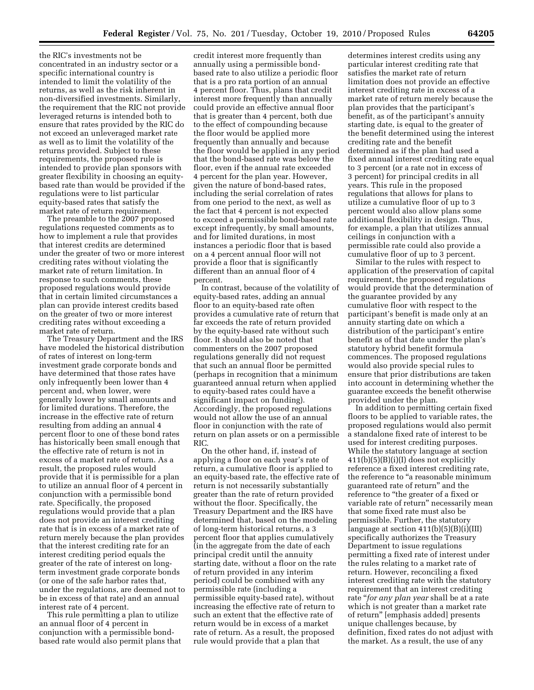the RIC's investments not be concentrated in an industry sector or a specific international country is intended to limit the volatility of the returns, as well as the risk inherent in non-diversified investments. Similarly, the requirement that the RIC not provide leveraged returns is intended both to ensure that rates provided by the RIC do not exceed an unleveraged market rate as well as to limit the volatility of the returns provided. Subject to these requirements, the proposed rule is intended to provide plan sponsors with greater flexibility in choosing an equitybased rate than would be provided if the regulations were to list particular equity-based rates that satisfy the market rate of return requirement.

The preamble to the 2007 proposed regulations requested comments as to how to implement a rule that provides that interest credits are determined under the greater of two or more interest crediting rates without violating the market rate of return limitation. In response to such comments, these proposed regulations would provide that in certain limited circumstances a plan can provide interest credits based on the greater of two or more interest crediting rates without exceeding a market rate of return.

The Treasury Department and the IRS have modeled the historical distribution of rates of interest on long-term investment grade corporate bonds and have determined that those rates have only infrequently been lower than 4 percent and, when lower, were generally lower by small amounts and for limited durations. Therefore, the increase in the effective rate of return resulting from adding an annual 4 percent floor to one of these bond rates has historically been small enough that the effective rate of return is not in excess of a market rate of return. As a result, the proposed rules would provide that it is permissible for a plan to utilize an annual floor of 4 percent in conjunction with a permissible bond rate. Specifically, the proposed regulations would provide that a plan does not provide an interest crediting rate that is in excess of a market rate of return merely because the plan provides that the interest crediting rate for an interest crediting period equals the greater of the rate of interest on longterm investment grade corporate bonds (or one of the safe harbor rates that, under the regulations, are deemed not to be in excess of that rate) and an annual interest rate of 4 percent.

This rule permitting a plan to utilize an annual floor of 4 percent in conjunction with a permissible bondbased rate would also permit plans that

credit interest more frequently than annually using a permissible bondbased rate to also utilize a periodic floor that is a pro rata portion of an annual 4 percent floor. Thus, plans that credit interest more frequently than annually could provide an effective annual floor that is greater than 4 percent, both due to the effect of compounding because the floor would be applied more frequently than annually and because the floor would be applied in any period that the bond-based rate was below the floor, even if the annual rate exceeded 4 percent for the plan year. However, given the nature of bond-based rates, including the serial correlation of rates from one period to the next, as well as the fact that 4 percent is not expected to exceed a permissible bond-based rate except infrequently, by small amounts, and for limited durations, in most instances a periodic floor that is based on a 4 percent annual floor will not provide a floor that is significantly different than an annual floor of 4 percent.

In contrast, because of the volatility of equity-based rates, adding an annual floor to an equity-based rate often provides a cumulative rate of return that far exceeds the rate of return provided by the equity-based rate without such floor. It should also be noted that commenters on the 2007 proposed regulations generally did not request that such an annual floor be permitted (perhaps in recognition that a minimum guaranteed annual return when applied to equity-based rates could have a significant impact on funding). Accordingly, the proposed regulations would not allow the use of an annual floor in conjunction with the rate of return on plan assets or on a permissible RIC.

On the other hand, if, instead of applying a floor on each year's rate of return, a cumulative floor is applied to an equity-based rate, the effective rate of return is not necessarily substantially greater than the rate of return provided without the floor. Specifically, the Treasury Department and the IRS have determined that, based on the modeling of long-term historical returns, a 3 percent floor that applies cumulatively (in the aggregate from the date of each principal credit until the annuity starting date, without a floor on the rate of return provided in any interim period) could be combined with any permissible rate (including a permissible equity-based rate), without increasing the effective rate of return to such an extent that the effective rate of return would be in excess of a market rate of return. As a result, the proposed rule would provide that a plan that

determines interest credits using any particular interest crediting rate that satisfies the market rate of return limitation does not provide an effective interest crediting rate in excess of a market rate of return merely because the plan provides that the participant's benefit, as of the participant's annuity starting date, is equal to the greater of the benefit determined using the interest crediting rate and the benefit determined as if the plan had used a fixed annual interest crediting rate equal to 3 percent (or a rate not in excess of 3 percent) for principal credits in all years. This rule in the proposed regulations that allows for plans to utilize a cumulative floor of up to 3 percent would also allow plans some additional flexibility in design. Thus, for example, a plan that utilizes annual ceilings in conjunction with a permissible rate could also provide a cumulative floor of up to 3 percent.

Similar to the rules with respect to application of the preservation of capital requirement, the proposed regulations would provide that the determination of the guarantee provided by any cumulative floor with respect to the participant's benefit is made only at an annuity starting date on which a distribution of the participant's entire benefit as of that date under the plan's statutory hybrid benefit formula commences. The proposed regulations would also provide special rules to ensure that prior distributions are taken into account in determining whether the guarantee exceeds the benefit otherwise provided under the plan.

In addition to permitting certain fixed floors to be applied to variable rates, the proposed regulations would also permit a standalone fixed rate of interest to be used for interest crediting purposes. While the statutory language at section 411(b)(5)(B)(i)(I) does not explicitly reference a fixed interest crediting rate, the reference to "a reasonable minimum guaranteed rate of return'' and the reference to ''the greater of a fixed or variable rate of return" necessarily mean that some fixed rate must also be permissible. Further, the statutory language at section  $411(b)(5)(B)(i)(III)$ specifically authorizes the Treasury Department to issue regulations permitting a fixed rate of interest under the rules relating to a market rate of return. However, reconciling a fixed interest crediting rate with the statutory requirement that an interest crediting rate ''*for any plan year* shall be at a rate which is not greater than a market rate of return'' [emphasis added] presents unique challenges because, by definition, fixed rates do not adjust with the market. As a result, the use of any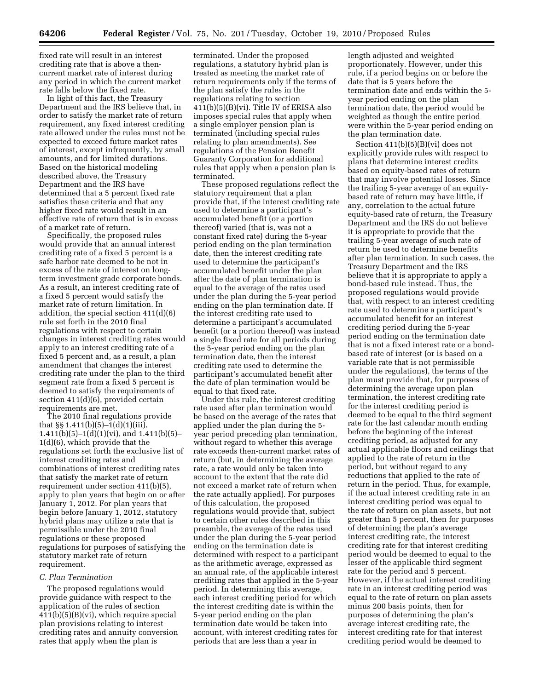fixed rate will result in an interest crediting rate that is above a thencurrent market rate of interest during any period in which the current market rate falls below the fixed rate.

In light of this fact, the Treasury Department and the IRS believe that, in order to satisfy the market rate of return requirement, any fixed interest crediting rate allowed under the rules must not be expected to exceed future market rates of interest, except infrequently, by small amounts, and for limited durations. Based on the historical modeling described above, the Treasury Department and the IRS have determined that a 5 percent fixed rate satisfies these criteria and that any higher fixed rate would result in an effective rate of return that is in excess of a market rate of return.

Specifically, the proposed rules would provide that an annual interest crediting rate of a fixed 5 percent is a safe harbor rate deemed to be not in excess of the rate of interest on longterm investment grade corporate bonds. As a result, an interest crediting rate of a fixed 5 percent would satisfy the market rate of return limitation. In addition, the special section 411(d)(6) rule set forth in the 2010 final regulations with respect to certain changes in interest crediting rates would apply to an interest crediting rate of a fixed 5 percent and, as a result, a plan amendment that changes the interest crediting rate under the plan to the third segment rate from a fixed 5 percent is deemed to satisfy the requirements of section 411(d)(6), provided certain requirements are met.

The 2010 final regulations provide that §§ 1.411(b)(5)–1(d)(1)(iii), 1.411(b)(5)–1(d)(1)(vi), and 1.411(b)(5)– 1(d)(6), which provide that the regulations set forth the exclusive list of interest crediting rates and combinations of interest crediting rates that satisfy the market rate of return requirement under section 411(b)(5), apply to plan years that begin on or after January 1, 2012. For plan years that begin before January 1, 2012, statutory hybrid plans may utilize a rate that is permissible under the 2010 final regulations or these proposed regulations for purposes of satisfying the statutory market rate of return requirement.

#### *C. Plan Termination*

The proposed regulations would provide guidance with respect to the application of the rules of section 411(b)(5)(B)(vi), which require special plan provisions relating to interest crediting rates and annuity conversion rates that apply when the plan is

terminated. Under the proposed regulations, a statutory hybrid plan is treated as meeting the market rate of return requirements only if the terms of the plan satisfy the rules in the regulations relating to section 411(b)(5)(B)(vi). Title IV of ERISA also imposes special rules that apply when a single employer pension plan is terminated (including special rules relating to plan amendments). See regulations of the Pension Benefit Guaranty Corporation for additional rules that apply when a pension plan is terminated.

These proposed regulations reflect the statutory requirement that a plan provide that, if the interest crediting rate used to determine a participant's accumulated benefit (or a portion thereof) varied (that is, was not a constant fixed rate) during the 5-year period ending on the plan termination date, then the interest crediting rate used to determine the participant's accumulated benefit under the plan after the date of plan termination is equal to the average of the rates used under the plan during the 5-year period ending on the plan termination date. If the interest crediting rate used to determine a participant's accumulated benefit (or a portion thereof) was instead a single fixed rate for all periods during the 5-year period ending on the plan termination date, then the interest crediting rate used to determine the participant's accumulated benefit after the date of plan termination would be equal to that fixed rate.

Under this rule, the interest crediting rate used after plan termination would be based on the average of the rates that applied under the plan during the 5 year period preceding plan termination, without regard to whether this average rate exceeds then-current market rates of return (but, in determining the average rate, a rate would only be taken into account to the extent that the rate did not exceed a market rate of return when the rate actually applied). For purposes of this calculation, the proposed regulations would provide that, subject to certain other rules described in this preamble, the average of the rates used under the plan during the 5-year period ending on the termination date is determined with respect to a participant as the arithmetic average, expressed as an annual rate, of the applicable interest crediting rates that applied in the 5-year period. In determining this average, each interest crediting period for which the interest crediting date is within the 5-year period ending on the plan termination date would be taken into account, with interest crediting rates for periods that are less than a year in

length adjusted and weighted proportionately. However, under this rule, if a period begins on or before the date that is 5 years before the termination date and ends within the 5 year period ending on the plan termination date, the period would be weighted as though the entire period were within the 5-year period ending on the plan termination date.

Section 411(b)(5)(B)(vi) does not explicitly provide rules with respect to plans that determine interest credits based on equity-based rates of return that may involve potential losses. Since the trailing 5-year average of an equitybased rate of return may have little, if any, correlation to the actual future equity-based rate of return, the Treasury Department and the IRS do not believe it is appropriate to provide that the trailing 5-year average of such rate of return be used to determine benefits after plan termination. In such cases, the Treasury Department and the IRS believe that it is appropriate to apply a bond-based rule instead. Thus, the proposed regulations would provide that, with respect to an interest crediting rate used to determine a participant's accumulated benefit for an interest crediting period during the 5-year period ending on the termination date that is not a fixed interest rate or a bondbased rate of interest (or is based on a variable rate that is not permissible under the regulations), the terms of the plan must provide that, for purposes of determining the average upon plan termination, the interest crediting rate for the interest crediting period is deemed to be equal to the third segment rate for the last calendar month ending before the beginning of the interest crediting period, as adjusted for any actual applicable floors and ceilings that applied to the rate of return in the period, but without regard to any reductions that applied to the rate of return in the period. Thus, for example, if the actual interest crediting rate in an interest crediting period was equal to the rate of return on plan assets, but not greater than 5 percent, then for purposes of determining the plan's average interest crediting rate, the interest crediting rate for that interest crediting period would be deemed to equal to the lesser of the applicable third segment rate for the period and 5 percent. However, if the actual interest crediting rate in an interest crediting period was equal to the rate of return on plan assets minus 200 basis points, then for purposes of determining the plan's average interest crediting rate, the interest crediting rate for that interest crediting period would be deemed to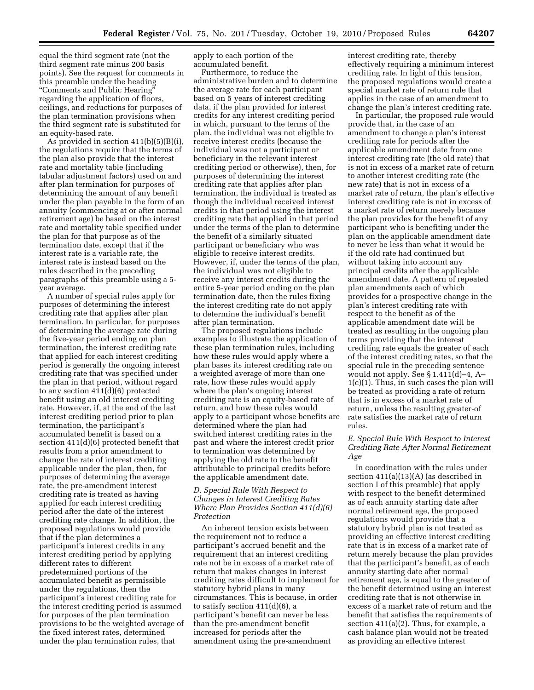equal the third segment rate (not the third segment rate minus 200 basis points). See the request for comments in this preamble under the heading ''Comments and Public Hearing'' regarding the application of floors, ceilings, and reductions for purposes of the plan termination provisions when the third segment rate is substituted for an equity-based rate.

As provided in section 411(b)(5)(B)(i), the regulations require that the terms of the plan also provide that the interest rate and mortality table (including tabular adjustment factors) used on and after plan termination for purposes of determining the amount of any benefit under the plan payable in the form of an annuity (commencing at or after normal retirement age) be based on the interest rate and mortality table specified under the plan for that purpose as of the termination date, except that if the interest rate is a variable rate, the interest rate is instead based on the rules described in the preceding paragraphs of this preamble using a 5 year average.

A number of special rules apply for purposes of determining the interest crediting rate that applies after plan termination. In particular, for purposes of determining the average rate during the five-year period ending on plan termination, the interest crediting rate that applied for each interest crediting period is generally the ongoing interest crediting rate that was specified under the plan in that period, without regard to any section 411(d)(6) protected benefit using an old interest crediting rate. However, if, at the end of the last interest crediting period prior to plan termination, the participant's accumulated benefit is based on a section 411(d)(6) protected benefit that results from a prior amendment to change the rate of interest crediting applicable under the plan, then, for purposes of determining the average rate, the pre-amendment interest crediting rate is treated as having applied for each interest crediting period after the date of the interest crediting rate change. In addition, the proposed regulations would provide that if the plan determines a participant's interest credits in any interest crediting period by applying different rates to different predetermined portions of the accumulated benefit as permissible under the regulations, then the participant's interest crediting rate for the interest crediting period is assumed for purposes of the plan termination provisions to be the weighted average of the fixed interest rates, determined under the plan termination rules, that

apply to each portion of the accumulated benefit.

Furthermore, to reduce the administrative burden and to determine the average rate for each participant based on 5 years of interest crediting data, if the plan provided for interest credits for any interest crediting period in which, pursuant to the terms of the plan, the individual was not eligible to receive interest credits (because the individual was not a participant or beneficiary in the relevant interest crediting period or otherwise), then, for purposes of determining the interest crediting rate that applies after plan termination, the individual is treated as though the individual received interest credits in that period using the interest crediting rate that applied in that period under the terms of the plan to determine the benefit of a similarly situated participant or beneficiary who was eligible to receive interest credits. However, if, under the terms of the plan, the individual was not eligible to receive any interest credits during the entire 5-year period ending on the plan termination date, then the rules fixing the interest crediting rate do not apply to determine the individual's benefit after plan termination.

The proposed regulations include examples to illustrate the application of these plan termination rules, including how these rules would apply where a plan bases its interest crediting rate on a weighted average of more than one rate, how these rules would apply where the plan's ongoing interest crediting rate is an equity-based rate of return, and how these rules would apply to a participant whose benefits are determined where the plan had switched interest crediting rates in the past and where the interest credit prior to termination was determined by applying the old rate to the benefit attributable to principal credits before the applicable amendment date.

## *D. Special Rule With Respect to Changes in Interest Crediting Rates Where Plan Provides Section 411(d)(6) Protection*

An inherent tension exists between the requirement not to reduce a participant's accrued benefit and the requirement that an interest crediting rate not be in excess of a market rate of return that makes changes in interest crediting rates difficult to implement for statutory hybrid plans in many circumstances. This is because, in order to satisfy section 411(d)(6), a participant's benefit can never be less than the pre-amendment benefit increased for periods after the amendment using the pre-amendment

interest crediting rate, thereby effectively requiring a minimum interest crediting rate. In light of this tension, the proposed regulations would create a special market rate of return rule that applies in the case of an amendment to change the plan's interest crediting rate.

In particular, the proposed rule would provide that, in the case of an amendment to change a plan's interest crediting rate for periods after the applicable amendment date from one interest crediting rate (the old rate) that is not in excess of a market rate of return to another interest crediting rate (the new rate) that is not in excess of a market rate of return, the plan's effective interest crediting rate is not in excess of a market rate of return merely because the plan provides for the benefit of any participant who is benefiting under the plan on the applicable amendment date to never be less than what it would be if the old rate had continued but without taking into account any principal credits after the applicable amendment date. A pattern of repeated plan amendments each of which provides for a prospective change in the plan's interest crediting rate with respect to the benefit as of the applicable amendment date will be treated as resulting in the ongoing plan terms providing that the interest crediting rate equals the greater of each of the interest crediting rates, so that the special rule in the preceding sentence would not apply. See § 1.411(d)–4, A– 1(c)(1). Thus, in such cases the plan will be treated as providing a rate of return that is in excess of a market rate of return, unless the resulting greater-of rate satisfies the market rate of return rules.

## *E. Special Rule With Respect to Interest Crediting Rate After Normal Retirement Age*

In coordination with the rules under section 411(a)(13)(A) (as described in section I of this preamble) that apply with respect to the benefit determined as of each annuity starting date after normal retirement age, the proposed regulations would provide that a statutory hybrid plan is not treated as providing an effective interest crediting rate that is in excess of a market rate of return merely because the plan provides that the participant's benefit, as of each annuity starting date after normal retirement age, is equal to the greater of the benefit determined using an interest crediting rate that is not otherwise in excess of a market rate of return and the benefit that satisfies the requirements of section 411(a)(2). Thus, for example, a cash balance plan would not be treated as providing an effective interest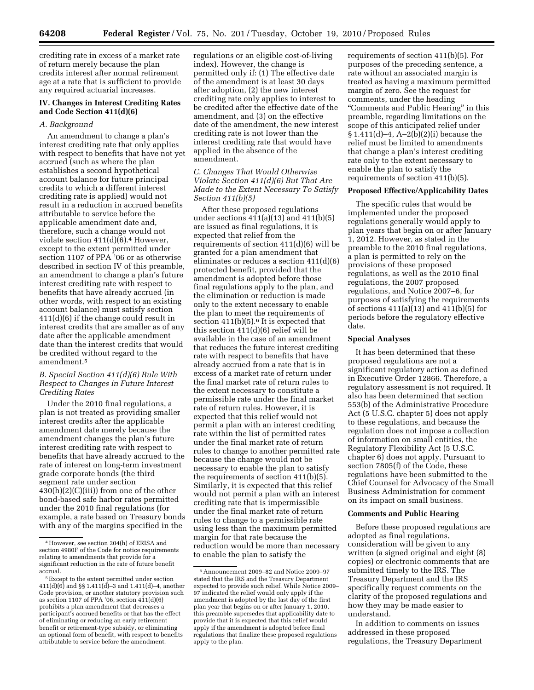crediting rate in excess of a market rate of return merely because the plan credits interest after normal retirement age at a rate that is sufficient to provide any required actuarial increases.

## **IV. Changes in Interest Crediting Rates and Code Section 411(d)(6)**

### *A. Background*

An amendment to change a plan's interest crediting rate that only applies with respect to benefits that have not yet accrued (such as where the plan establishes a second hypothetical account balance for future principal credits to which a different interest crediting rate is applied) would not result in a reduction in accrued benefits attributable to service before the applicable amendment date and, therefore, such a change would not violate section  $411(d)(6).4$  However, except to the extent permitted under section 1107 of PPA '06 or as otherwise described in section IV of this preamble, an amendment to change a plan's future interest crediting rate with respect to benefits that have already accrued (in other words, with respect to an existing account balance) must satisfy section 411(d)(6) if the change could result in interest credits that are smaller as of any date after the applicable amendment date than the interest credits that would be credited without regard to the amendment.5

### *B. Special Section 411(d)(6) Rule With Respect to Changes in Future Interest Crediting Rates*

Under the 2010 final regulations, a plan is not treated as providing smaller interest credits after the applicable amendment date merely because the amendment changes the plan's future interest crediting rate with respect to benefits that have already accrued to the rate of interest on long-term investment grade corporate bonds (the third segment rate under section  $430(h)(2)(C(iii))$  from one of the other bond-based safe harbor rates permitted under the 2010 final regulations (for example, a rate based on Treasury bonds with any of the margins specified in the

regulations or an eligible cost-of-living index). However, the change is permitted only if: (1) The effective date of the amendment is at least 30 days after adoption, (2) the new interest crediting rate only applies to interest to be credited after the effective date of the amendment, and (3) on the effective date of the amendment, the new interest crediting rate is not lower than the interest crediting rate that would have applied in the absence of the amendment.

## *C. Changes That Would Otherwise Violate Section 411(d)(6) But That Are Made to the Extent Necessary To Satisfy Section 411(b)(5)*

After these proposed regulations under sections 411(a)(13) and 411(b)(5) are issued as final regulations, it is expected that relief from the requirements of section 411(d)(6) will be granted for a plan amendment that eliminates or reduces a section 411(d)(6) protected benefit, provided that the amendment is adopted before those final regulations apply to the plan, and the elimination or reduction is made only to the extent necessary to enable the plan to meet the requirements of section  $411(b)(5)$ .<sup>6</sup> It is expected that this section 411(d)(6) relief will be available in the case of an amendment that reduces the future interest crediting rate with respect to benefits that have already accrued from a rate that is in excess of a market rate of return under the final market rate of return rules to the extent necessary to constitute a permissible rate under the final market rate of return rules. However, it is expected that this relief would not permit a plan with an interest crediting rate within the list of permitted rates under the final market rate of return rules to change to another permitted rate because the change would not be necessary to enable the plan to satisfy the requirements of section 411(b)(5). Similarly, it is expected that this relief would not permit a plan with an interest crediting rate that is impermissible under the final market rate of return rules to change to a permissible rate using less than the maximum permitted margin for that rate because the reduction would be more than necessary to enable the plan to satisfy the

requirements of section 411(b)(5). For purposes of the preceding sentence, a rate without an associated margin is treated as having a maximum permitted margin of zero. See the request for comments, under the heading ''Comments and Public Hearing'' in this preamble, regarding limitations on the scope of this anticipated relief under § 1.411(d)–4, A–2(b)(2)(i) because the relief must be limited to amendments that change a plan's interest crediting rate only to the extent necessary to enable the plan to satisfy the requirements of section 411(b)(5).

#### **Proposed Effective/Applicability Dates**

The specific rules that would be implemented under the proposed regulations generally would apply to plan years that begin on or after January 1, 2012. However, as stated in the preamble to the 2010 final regulations, a plan is permitted to rely on the provisions of these proposed regulations, as well as the 2010 final regulations, the 2007 proposed regulations, and Notice 2007–6, for purposes of satisfying the requirements of sections 411(a)(13) and 411(b)(5) for periods before the regulatory effective date.

#### **Special Analyses**

It has been determined that these proposed regulations are not a significant regulatory action as defined in Executive Order 12866. Therefore, a regulatory assessment is not required. It also has been determined that section 553(b) of the Administrative Procedure Act (5 U.S.C. chapter 5) does not apply to these regulations, and because the regulation does not impose a collection of information on small entities, the Regulatory Flexibility Act (5 U.S.C. chapter 6) does not apply. Pursuant to section 7805(f) of the Code, these regulations have been submitted to the Chief Counsel for Advocacy of the Small Business Administration for comment on its impact on small business.

#### **Comments and Public Hearing**

Before these proposed regulations are adopted as final regulations, consideration will be given to any written (a signed original and eight (8) copies) or electronic comments that are submitted timely to the IRS. The Treasury Department and the IRS specifically request comments on the clarity of the proposed regulations and how they may be made easier to understand.

In addition to comments on issues addressed in these proposed regulations, the Treasury Department

<sup>4</sup>However, see section 204(h) of ERISA and section 4980F of the Code for notice requirements relating to amendments that provide for a significant reduction in the rate of future benefit accrual.

<sup>5</sup>Except to the extent permitted under section 411(d)(6) and §§ 1.411(d)–3 and 1.411(d)–4, another Code provision, or another statutory provision such as section 1107 of PPA '06, section 411(d)(6) prohibits a plan amendment that decreases a participant's accrued benefits or that has the effect of eliminating or reducing an early retirement benefit or retirement-type subsidy, or eliminating an optional form of benefit, with respect to benefits attributable to service before the amendment.

<sup>6</sup>Announcement 2009–82 and Notice 2009–97 stated that the IRS and the Treasury Department expected to provide such relief. While Notice 2009– 97 indicated the relief would only apply if the amendment is adopted by the last day of the first plan year that begins on or after January 1, 2010, this preamble supersedes that applicability date to provide that it is expected that this relief would apply if the amendment is adopted before final regulations that finalize these proposed regulations apply to the plan.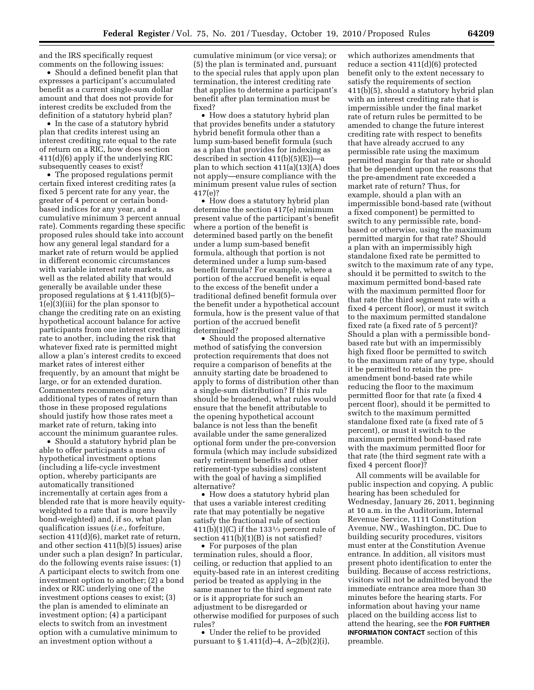and the IRS specifically request comments on the following issues:

• Should a defined benefit plan that expresses a participant's accumulated benefit as a current single-sum dollar amount and that does not provide for interest credits be excluded from the definition of a statutory hybrid plan?

• In the case of a statutory hybrid plan that credits interest using an interest crediting rate equal to the rate of return on a RIC, how does section 411(d)(6) apply if the underlying RIC subsequently ceases to exist?

• The proposed regulations permit certain fixed interest crediting rates (a fixed 5 percent rate for any year, the greater of 4 percent or certain bondbased indices for any year, and a cumulative minimum 3 percent annual rate). Comments regarding these specific proposed rules should take into account how any general legal standard for a market rate of return would be applied in different economic circumstances with variable interest rate markets, as well as the related ability that would generally be available under these proposed regulations at § 1.411(b)(5)– 1(e)(3)(iii) for the plan sponsor to change the crediting rate on an existing hypothetical account balance for active participants from one interest crediting rate to another, including the risk that whatever fixed rate is permitted might allow a plan's interest credits to exceed market rates of interest either frequently, by an amount that might be large, or for an extended duration. Commenters recommending any additional types of rates of return than those in these proposed regulations should justify how those rates meet a market rate of return, taking into account the minimum guarantee rules.

• Should a statutory hybrid plan be able to offer participants a menu of hypothetical investment options (including a life-cycle investment option, whereby participants are automatically transitioned incrementally at certain ages from a blended rate that is more heavily equityweighted to a rate that is more heavily bond-weighted) and, if so, what plan qualification issues (*i.e.,* forfeiture, section  $411(d)(6)$ , market rate of return, and other section 411(b)(5) issues) arise under such a plan design? In particular, do the following events raise issues: (1) A participant elects to switch from one investment option to another; (2) a bond index or RIC underlying one of the investment options ceases to exist; (3) the plan is amended to eliminate an investment option; (4) a participant elects to switch from an investment option with a cumulative minimum to an investment option without a

cumulative minimum (or vice versa); or (5) the plan is terminated and, pursuant to the special rules that apply upon plan termination, the interest crediting rate that applies to determine a participant's benefit after plan termination must be fixed?

• How does a statutory hybrid plan that provides benefits under a statutory hybrid benefit formula other than a lump sum-based benefit formula (such as a plan that provides for indexing as described in section 411(b)(5)(E))—a plan to which section 411(a)(13)(A) does not apply—ensure compliance with the minimum present value rules of section 417(e)?

• How does a statutory hybrid plan determine the section 417(e) minimum present value of the participant's benefit where a portion of the benefit is determined based partly on the benefit under a lump sum-based benefit formula, although that portion is not determined under a lump sum-based benefit formula? For example, where a portion of the accrued benefit is equal to the excess of the benefit under a traditional defined benefit formula over the benefit under a hypothetical account formula, how is the present value of that portion of the accrued benefit determined?

• Should the proposed alternative method of satisfying the conversion protection requirements that does not require a comparison of benefits at the annuity starting date be broadened to apply to forms of distribution other than a single-sum distribution? If this rule should be broadened, what rules would ensure that the benefit attributable to the opening hypothetical account balance is not less than the benefit available under the same generalized optional form under the pre-conversion formula (which may include subsidized early retirement benefits and other retirement-type subsidies) consistent with the goal of having a simplified alternative?

• How does a statutory hybrid plan that uses a variable interest crediting rate that may potentially be negative satisfy the fractional rule of section  $411(b)(1)(C)$  if the 133<sup>1</sup>/<sub>3</sub> percent rule of section  $411(b)(1)(B)$  is not satisfied?

• For purposes of the plan termination rules, should a floor, ceiling, or reduction that applied to an equity-based rate in an interest crediting period be treated as applying in the same manner to the third segment rate or is it appropriate for such an adjustment to be disregarded or otherwise modified for purposes of such rules?

• Under the relief to be provided pursuant to § 1.411(d)–4, A–2(b)(2)(i),

which authorizes amendments that reduce a section 411(d)(6) protected benefit only to the extent necessary to satisfy the requirements of section 411(b)(5), should a statutory hybrid plan with an interest crediting rate that is impermissible under the final market rate of return rules be permitted to be amended to change the future interest crediting rate with respect to benefits that have already accrued to any permissible rate using the maximum permitted margin for that rate or should that be dependent upon the reasons that the pre-amendment rate exceeded a market rate of return? Thus, for example, should a plan with an impermissible bond-based rate (without a fixed component) be permitted to switch to any permissible rate, bondbased or otherwise, using the maximum permitted margin for that rate? Should a plan with an impermissibly high standalone fixed rate be permitted to switch to the maximum rate of any type, should it be permitted to switch to the maximum permitted bond-based rate with the maximum permitted floor for that rate (the third segment rate with a fixed 4 percent floor), or must it switch to the maximum permitted standalone fixed rate (a fixed rate of 5 percent)? Should a plan with a permissible bondbased rate but with an impermissibly high fixed floor be permitted to switch to the maximum rate of any type, should it be permitted to retain the preamendment bond-based rate while reducing the floor to the maximum permitted floor for that rate (a fixed 4 percent floor), should it be permitted to switch to the maximum permitted standalone fixed rate (a fixed rate of 5 percent), or must it switch to the maximum permitted bond-based rate with the maximum permitted floor for that rate (the third segment rate with a fixed 4 percent floor)?

All comments will be available for public inspection and copying. A public hearing has been scheduled for Wednesday, January 26, 2011, beginning at 10 a.m. in the Auditorium, Internal Revenue Service, 1111 Constitution Avenue, NW., Washington, DC. Due to building security procedures, visitors must enter at the Constitution Avenue entrance. In addition, all visitors must present photo identification to enter the building. Because of access restrictions, visitors will not be admitted beyond the immediate entrance area more than 30 minutes before the hearing starts. For information about having your name placed on the building access list to attend the hearing, see the **FOR FURTHER INFORMATION CONTACT** section of this preamble.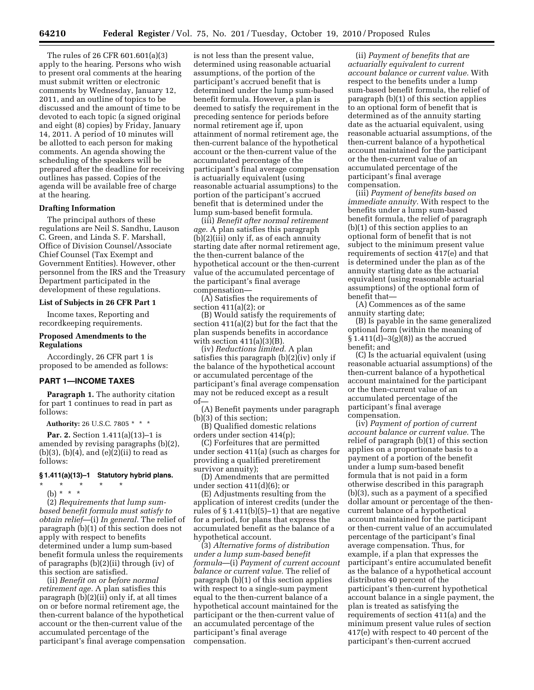The rules of 26 CFR 601.601(a)(3) apply to the hearing. Persons who wish to present oral comments at the hearing must submit written or electronic comments by Wednesday, January 12, 2011, and an outline of topics to be discussed and the amount of time to be devoted to each topic (a signed original and eight (8) copies) by Friday, January 14, 2011. A period of 10 minutes will be allotted to each person for making comments. An agenda showing the scheduling of the speakers will be prepared after the deadline for receiving outlines has passed. Copies of the agenda will be available free of charge at the hearing.

#### **Drafting Information**

The principal authors of these regulations are Neil S. Sandhu, Lauson C. Green, and Linda S. F. Marshall, Office of Division Counsel/Associate Chief Counsel (Tax Exempt and Government Entities). However, other personnel from the IRS and the Treasury Department participated in the development of these regulations.

#### **List of Subjects in 26 CFR Part 1**

Income taxes, Reporting and recordkeeping requirements.

#### **Proposed Amendments to the Regulations**

Accordingly, 26 CFR part 1 is proposed to be amended as follows:

### **PART 1—INCOME TAXES**

**Paragraph 1.** The authority citation for part 1 continues to read in part as follows:

**Authority:** 26 U.S.C. 7805 \* \* \*

**Par. 2.** Section 1.411(a)(13)–1 is amended by revising paragraphs (b)(2),  $(b)(3)$ ,  $(b)(4)$ , and  $(e)(2)(ii)$  to read as follows:

# **§ 1.411(a)(13)–1 Statutory hybrid plans.**

\* \* \* \* \*

(b) \* \* \* (2) *Requirements that lump sumbased benefit formula must satisfy to obtain relief*—(i) *In general.* The relief of paragraph (b)(1) of this section does not apply with respect to benefits determined under a lump sum-based benefit formula unless the requirements of paragraphs (b)(2)(ii) through (iv) of this section are satisfied.

(ii) *Benefit on or before normal retirement age.* A plan satisfies this paragraph  $(b)(2)(ii)$  only if, at all times on or before normal retirement age, the then-current balance of the hypothetical account or the then-current value of the accumulated percentage of the participant's final average compensation

is not less than the present value, determined using reasonable actuarial assumptions, of the portion of the participant's accrued benefit that is determined under the lump sum-based benefit formula. However, a plan is deemed to satisfy the requirement in the preceding sentence for periods before normal retirement age if, upon attainment of normal retirement age, the then-current balance of the hypothetical account or the then-current value of the accumulated percentage of the participant's final average compensation is actuarially equivalent (using reasonable actuarial assumptions) to the portion of the participant's accrued benefit that is determined under the lump sum-based benefit formula.

(iii) *Benefit after normal retirement age.* A plan satisfies this paragraph (b)(2)(iii) only if, as of each annuity starting date after normal retirement age, the then-current balance of the hypothetical account or the then-current value of the accumulated percentage of the participant's final average compensation—

(A) Satisfies the requirements of section 411(a)(2); or

(B) Would satisfy the requirements of section 411(a)(2) but for the fact that the plan suspends benefits in accordance with section  $411(a)(3)(B)$ .

(iv) *Reductions limited.* A plan satisfies this paragraph (b)(2)(iv) only if the balance of the hypothetical account or accumulated percentage of the participant's final average compensation may not be reduced except as a result of—

(A) Benefit payments under paragraph (b)(3) of this section;

(B) Qualified domestic relations orders under section 414(p);

(C) Forfeitures that are permitted under section 411(a) (such as charges for providing a qualified preretirement survivor annuity);

(D) Amendments that are permitted under section 411(d)(6); or

(E) Adjustments resulting from the application of interest credits (under the rules of § 1.411(b)(5)–1) that are negative for a period, for plans that express the accumulated benefit as the balance of a hypothetical account.

(3) *Alternative forms of distribution under a lump sum-based benefit formula*—(i) *Payment of current account balance or current value.* The relief of paragraph (b)(1) of this section applies with respect to a single-sum payment equal to the then-current balance of a hypothetical account maintained for the participant or the then-current value of an accumulated percentage of the participant's final average compensation.

(ii) *Payment of benefits that are actuarially equivalent to current account balance or current value.* With respect to the benefits under a lump sum-based benefit formula, the relief of paragraph (b)(1) of this section applies to an optional form of benefit that is determined as of the annuity starting date as the actuarial equivalent, using reasonable actuarial assumptions, of the then-current balance of a hypothetical account maintained for the participant or the then-current value of an accumulated percentage of the participant's final average compensation.

(iii) *Payment of benefits based on immediate annuity.* With respect to the benefits under a lump sum-based benefit formula, the relief of paragraph (b)(1) of this section applies to an optional form of benefit that is not subject to the minimum present value requirements of section 417(e) and that is determined under the plan as of the annuity starting date as the actuarial equivalent (using reasonable actuarial assumptions) of the optional form of benefit that—

(A) Commences as of the same annuity starting date;

(B) Is payable in the same generalized optional form (within the meaning of  $$1.411(d)-3(g)(8)]$  as the accrued benefit; and

(C) Is the actuarial equivalent (using reasonable actuarial assumptions) of the then-current balance of a hypothetical account maintained for the participant or the then-current value of an accumulated percentage of the participant's final average compensation.

(iv) *Payment of portion of current account balance or current value.* The relief of paragraph (b)(1) of this section applies on a proportionate basis to a payment of a portion of the benefit under a lump sum-based benefit formula that is not paid in a form otherwise described in this paragraph (b)(3), such as a payment of a specified dollar amount or percentage of the thencurrent balance of a hypothetical account maintained for the participant or then-current value of an accumulated percentage of the participant's final average compensation. Thus, for example, if a plan that expresses the participant's entire accumulated benefit as the balance of a hypothetical account distributes 40 percent of the participant's then-current hypothetical account balance in a single payment, the plan is treated as satisfying the requirements of section 411(a) and the minimum present value rules of section 417(e) with respect to 40 percent of the participant's then-current accrued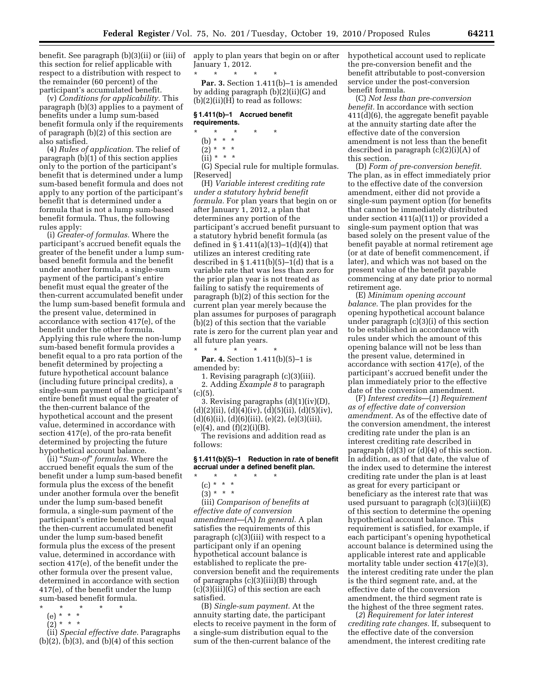benefit. See paragraph (b)(3)(ii) or (iii) of apply to plan years that begin on or after hypothetical account used to replicate this section for relief applicable with respect to a distribution with respect to the remainder (60 percent) of the participant's accumulated benefit.

(v) *Conditions for applicability.* This paragraph (b)(3) applies to a payment of benefits under a lump sum-based benefit formula only if the requirements of paragraph (b)(2) of this section are also satisfied.

(4) *Rules of application.* The relief of paragraph (b)(1) of this section applies only to the portion of the participant's benefit that is determined under a lump sum-based benefit formula and does not apply to any portion of the participant's benefit that is determined under a formula that is not a lump sum-based benefit formula. Thus, the following rules apply:

(i) *Greater-of formulas.* Where the participant's accrued benefit equals the greater of the benefit under a lump sumbased benefit formula and the benefit under another formula, a single-sum payment of the participant's entire benefit must equal the greater of the then-current accumulated benefit under the lump sum-based benefit formula and the present value, determined in accordance with section 417(e), of the benefit under the other formula. Applying this rule where the non-lump sum-based benefit formula provides a benefit equal to a pro rata portion of the benefit determined by projecting a future hypothetical account balance (including future principal credits), a single-sum payment of the participant's entire benefit must equal the greater of the then-current balance of the hypothetical account and the present value, determined in accordance with section 417(e), of the pro-rata benefit determined by projecting the future hypothetical account balance.

(ii) ''*Sum-of*'' *formulas.* Where the accrued benefit equals the sum of the benefit under a lump sum-based benefit formula plus the excess of the benefit under another formula over the benefit under the lump sum-based benefit formula, a single-sum payment of the participant's entire benefit must equal the then-current accumulated benefit under the lump sum-based benefit formula plus the excess of the present value, determined in accordance with section 417(e), of the benefit under the other formula over the present value, determined in accordance with section 417(e), of the benefit under the lump sum-based benefit formula.

- 
- \* \* \* \* \*
- (e) \* \* \*  $(2)^*$  \* \* \*
- 

(ii) *Special effective date.* Paragraphs  $(b)(2)$ ,  $(b)(3)$ , and  $(b)(4)$  of this section

January 1, 2012.

\* \* \* \* \* **Par. 3.** Section 1.411(b)–1 is amended by adding paragraph (b)(2)(ii)(G) and  $(b)(2)(ii)(H)$  to read as follows:

#### **§ 1.411(b)–1 Accrued benefit requirements.**

# \* \* \* \* \*

- (b) \* \* \*
- $(2)^* * * *$  $(ii) * * * *$
- 

(G) Special rule for multiple formulas. [Reserved]

(H) *Variable interest crediting rate under a statutory hybrid benefit formula.* For plan years that begin on or after January 1, 2012, a plan that determines any portion of the participant's accrued benefit pursuant to a statutory hybrid benefit formula (as defined in  $\S 1.411(a)(13)-1(d)(4)$  that utilizes an interest crediting rate described in  $\S 1.411(b)(5)-1(d)$  that is a variable rate that was less than zero for the prior plan year is not treated as failing to satisfy the requirements of paragraph (b)(2) of this section for the current plan year merely because the plan assumes for purposes of paragraph (b)(2) of this section that the variable rate is zero for the current plan year and all future plan years.

\* \* \* \* \* **Par. 4.** Section 1.411(b)(5)–1 is amended by:

1. Revising paragraph (c)(3)(iii).

2. Adding *Example 8* to paragraph  $(c)(5).$ 

3. Revising paragraphs (d)(1)(iv)(D),  $(d)(2)(ii)$ ,  $(d)(4)(iv)$ ,  $(d)(5)(ii)$ ,  $(d)(5)(iv)$ ,  $(d)(6)(ii), (d)(6)(iii), (e)(2), (e)(3)(iii),$  $(e)(4)$ , and  $(f)(2)(i)(B)$ .

The revisions and addition read as follows:

**§ 1.411(b)(5)–1 Reduction in rate of benefit accrual under a defined benefit plan.** 

\* \* \* \* \* (c) \* \* \*

 $(3) * * * *$ 

(iii) *Comparison of benefits at effective date of conversion amendment*—(A) *In general.* A plan satisfies the requirements of this paragraph (c)(3)(iii) with respect to a participant only if an opening hypothetical account balance is established to replicate the preconversion benefit and the requirements of paragraphs (c)(3)(iii)(B) through (c)(3)(iii)(G) of this section are each satisfied.

(B) *Single-sum payment.* At the annuity starting date, the participant elects to receive payment in the form of a single-sum distribution equal to the sum of the then-current balance of the

the pre-conversion benefit and the benefit attributable to post-conversion service under the post-conversion benefit formula.

(C) *Not less than pre-conversion benefit.* In accordance with section 411(d)(6), the aggregate benefit payable at the annuity starting date after the effective date of the conversion amendment is not less than the benefit described in paragraph (c)(2)(i)(A) of this section.

(D) *Form of pre-conversion benefit.*  The plan, as in effect immediately prior to the effective date of the conversion amendment, either did not provide a single-sum payment option (for benefits that cannot be immediately distributed under section 411(a)(11)) or provided a single-sum payment option that was based solely on the present value of the benefit payable at normal retirement age (or at date of benefit commencement, if later), and which was not based on the present value of the benefit payable commencing at any date prior to normal retirement age.

(E) *Minimum opening account balance.* The plan provides for the opening hypothetical account balance under paragraph (c)(3)(i) of this section to be established in accordance with rules under which the amount of this opening balance will not be less than the present value, determined in accordance with section 417(e), of the participant's accrued benefit under the plan immediately prior to the effective date of the conversion amendment.

(F) *Interest credits*—(*1*) *Requirement as of effective date of conversion amendment.* As of the effective date of the conversion amendment, the interest crediting rate under the plan is an interest crediting rate described in paragraph (d)(3) or (d)(4) of this section. In addition, as of that date, the value of the index used to determine the interest crediting rate under the plan is at least as great for every participant or beneficiary as the interest rate that was used pursuant to paragraph (c)(3)(iii)(E) of this section to determine the opening hypothetical account balance. This requirement is satisfied, for example, if each participant's opening hypothetical account balance is determined using the applicable interest rate and applicable mortality table under section 417(e)(3), the interest crediting rate under the plan is the third segment rate, and, at the effective date of the conversion amendment, the third segment rate is the highest of the three segment rates.

(*2*) *Requirement for later interest crediting rate changes.* If, subsequent to the effective date of the conversion amendment, the interest crediting rate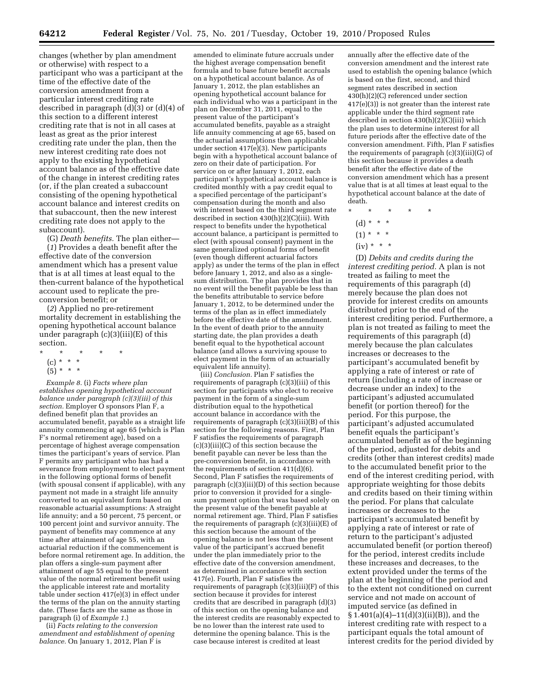changes (whether by plan amendment or otherwise) with respect to a participant who was a participant at the time of the effective date of the conversion amendment from a particular interest crediting rate described in paragraph (d)(3) or (d)(4) of this section to a different interest crediting rate that is not in all cases at least as great as the prior interest crediting rate under the plan, then the new interest crediting rate does not apply to the existing hypothetical account balance as of the effective date of the change in interest crediting rates (or, if the plan created a subaccount consisting of the opening hypothetical account balance and interest credits on that subaccount, then the new interest crediting rate does not apply to the subaccount).

(G) *Death benefits.* The plan either—

(*1*) Provides a death benefit after the effective date of the conversion amendment which has a present value that is at all times at least equal to the then-current balance of the hypothetical account used to replicate the preconversion benefit; or

(*2*) Applied no pre-retirement mortality decrement in establishing the opening hypothetical account balance under paragraph  $(c)(3)(iii)(E)$  of this section.

- \* \* \* \* \*
	- (c) \* \* \*
	- $(5) * * * *$

*Example 8.* (i) *Facts where plan establishes opening hypothetical account balance under paragraph (c)(3)(iii) of this section.* Employer O sponsors Plan F, a defined benefit plan that provides an accumulated benefit, payable as a straight life annuity commencing at age 65 (which is Plan F's normal retirement age), based on a percentage of highest average compensation times the participant's years of service. Plan F permits any participant who has had a severance from employment to elect payment in the following optional forms of benefit (with spousal consent if applicable), with any payment not made in a straight life annuity converted to an equivalent form based on reasonable actuarial assumptions: A straight life annuity; and a 50 percent, 75 percent, or 100 percent joint and survivor annuity. The payment of benefits may commence at any time after attainment of age 55, with an actuarial reduction if the commencement is before normal retirement age. In addition, the plan offers a single-sum payment after attainment of age 55 equal to the present value of the normal retirement benefit using the applicable interest rate and mortality table under section 417(e)(3) in effect under the terms of the plan on the annuity starting date. (These facts are the same as those in paragraph (i) of *Example 1.*)

(ii) *Facts relating to the conversion amendment and establishment of opening balance.* On January 1, 2012, Plan F is

amended to eliminate future accruals under the highest average compensation benefit formula and to base future benefit accruals on a hypothetical account balance. As of January 1, 2012, the plan establishes an opening hypothetical account balance for each individual who was a participant in the plan on December 31, 2011, equal to the present value of the participant's accumulated benefits, payable as a straight life annuity commencing at age 65, based on the actuarial assumptions then applicable under section 417(e)(3). New participants begin with a hypothetical account balance of zero on their date of participation. For service on or after January 1, 2012, each participant's hypothetical account balance is credited monthly with a pay credit equal to a specified percentage of the participant's compensation during the month and also with interest based on the third segment rate described in section 430(h)(2)(C)(iii). With respect to benefits under the hypothetical account balance, a participant is permitted to elect (with spousal consent) payment in the same generalized optional forms of benefit (even though different actuarial factors apply) as under the terms of the plan in effect before January 1, 2012, and also as a singlesum distribution. The plan provides that in no event will the benefit payable be less than the benefits attributable to service before January 1, 2012, to be determined under the terms of the plan as in effect immediately before the effective date of the amendment. In the event of death prior to the annuity starting date, the plan provides a death benefit equal to the hypothetical account balance (and allows a surviving spouse to elect payment in the form of an actuarially equivalent life annuity).

(iii) *Conclusion.* Plan F satisfies the requirements of paragraph (c)(3)(iii) of this section for participants who elect to receive payment in the form of a single-sum distribution equal to the hypothetical account balance in accordance with the requirements of paragraph (c)(3)(iii)(B) of this section for the following reasons. First, Plan F satisfies the requirements of paragraph (c)(3)(iii)(C) of this section because the benefit payable can never be less than the pre-conversion benefit, in accordance with the requirements of section 411(d)(6). Second, Plan F satisfies the requirements of paragraph (c)(3)(iii)(D) of this section because prior to conversion it provided for a singlesum payment option that was based solely on the present value of the benefit payable at normal retirement age. Third, Plan F satisfies the requirements of paragraph (c)(3)(iii)(E) of this section because the amount of the opening balance is not less than the present value of the participant's accrued benefit under the plan immediately prior to the effective date of the conversion amendment, as determined in accordance with section 417(e). Fourth, Plan F satisfies the requirements of paragraph  $(c)(3)(iii)(F)$  of this section because it provides for interest credits that are described in paragraph (d)(3) of this section on the opening balance and the interest credits are reasonably expected to be no lower than the interest rate used to determine the opening balance. This is the case because interest is credited at least

annually after the effective date of the conversion amendment and the interest rate used to establish the opening balance (which is based on the first, second, and third segment rates described in section 430(h)(2)(C) referenced under section 417(e)(3)) is not greater than the interest rate applicable under the third segment rate described in section 430(h)(2)(C)(iii) which the plan uses to determine interest for all future periods after the effective date of the conversion amendment. Fifth, Plan F satisfies the requirements of paragraph (c)(3)(iii)(G) of this section because it provides a death benefit after the effective date of the conversion amendment which has a present value that is at all times at least equal to the hypothetical account balance at the date of death.

- \* \* \* \* \*
	- (d) \* \* \*
	- $(1) * * * *$
	- $(iv) * * * *$

(D) *Debits and credits during the interest crediting period.* A plan is not treated as failing to meet the requirements of this paragraph (d) merely because the plan does not provide for interest credits on amounts distributed prior to the end of the interest crediting period. Furthermore, a plan is not treated as failing to meet the requirements of this paragraph (d) merely because the plan calculates increases or decreases to the participant's accumulated benefit by applying a rate of interest or rate of return (including a rate of increase or decrease under an index) to the participant's adjusted accumulated benefit (or portion thereof) for the period. For this purpose, the participant's adjusted accumulated benefit equals the participant's accumulated benefit as of the beginning of the period, adjusted for debits and credits (other than interest credits) made to the accumulated benefit prior to the end of the interest crediting period, with appropriate weighting for those debits and credits based on their timing within the period. For plans that calculate increases or decreases to the participant's accumulated benefit by applying a rate of interest or rate of return to the participant's adjusted accumulated benefit (or portion thereof) for the period, interest credits include these increases and decreases, to the extent provided under the terms of the plan at the beginning of the period and to the extent not conditioned on current service and not made on account of imputed service (as defined in § 1.401(a)(4)–11(d)(3)(ii)(B)), and the interest crediting rate with respect to a participant equals the total amount of interest credits for the period divided by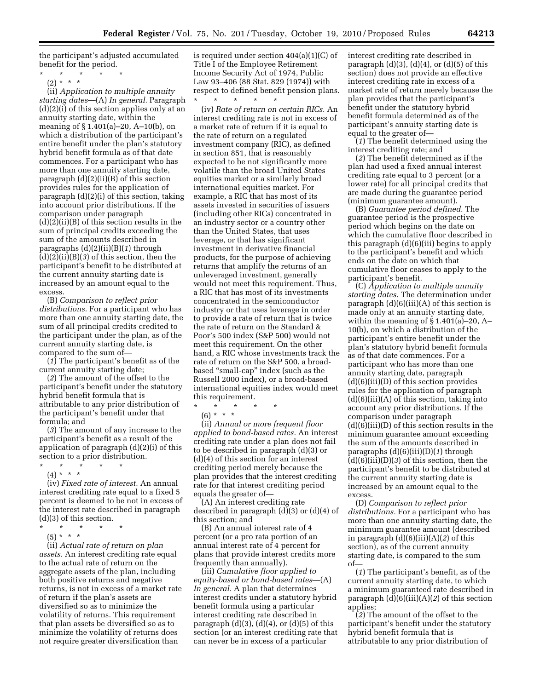the participant's adjusted accumulated benefit for the period.

- \* \* \* \* \*
	- (2) \* \* \*

(ii) *Application to multiple annuity starting dates*—(A) *In general.* Paragraph (d)(2)(i) of this section applies only at an annuity starting date, within the meaning of § 1.401(a)–20, A–10(b), on which a distribution of the participant's entire benefit under the plan's statutory hybrid benefit formula as of that date commences. For a participant who has more than one annuity starting date, paragraph (d)(2)(ii)(B) of this section provides rules for the application of paragraph (d)(2)(i) of this section, taking into account prior distributions. If the comparison under paragraph (d)(2)(ii)(B) of this section results in the sum of principal credits exceeding the sum of the amounts described in paragraphs (d)(2)(ii)(B)(*1*) through (d)(2)(ii)(B)(*3*) of this section, then the participant's benefit to be distributed at the current annuity starting date is increased by an amount equal to the excess.

(B) *Comparison to reflect prior distributions.* For a participant who has more than one annuity starting date, the sum of all principal credits credited to the participant under the plan, as of the current annuity starting date, is compared to the sum of—

(*1*) The participant's benefit as of the current annuity starting date;

(*2*) The amount of the offset to the participant's benefit under the statutory hybrid benefit formula that is attributable to any prior distribution of the participant's benefit under that formula; and

(*3*) The amount of any increase to the participant's benefit as a result of the application of paragraph (d)(2)(i) of this section to a prior distribution.

\* \* \* \* \*  $(4) * * * *$ 

(iv) *Fixed rate of interest.* An annual interest crediting rate equal to a fixed 5 percent is deemed to be not in excess of the interest rate described in paragraph (d)(3) of this section.

- $\star$   $\star$   $\star$
- (5) \* \* \*

(ii) *Actual rate of return on plan assets.* An interest crediting rate equal to the actual rate of return on the aggregate assets of the plan, including both positive returns and negative returns, is not in excess of a market rate of return if the plan's assets are diversified so as to minimize the volatility of returns. This requirement that plan assets be diversified so as to minimize the volatility of returns does not require greater diversification than

is required under section 404(a)(1)(C) of Title I of the Employee Retirement Income Security Act of 1974, Public Law 93–406 (88 Stat. 829 (1974)) with respect to defined benefit pension plans. \* \* \* \* \*

(iv) *Rate of return on certain RICs.* An interest crediting rate is not in excess of a market rate of return if it is equal to the rate of return on a regulated investment company (RIC), as defined in section 851, that is reasonably expected to be not significantly more volatile than the broad United States equities market or a similarly broad international equities market. For example, a RIC that has most of its assets invested in securities of issuers (including other RICs) concentrated in an industry sector or a country other than the United States, that uses leverage, or that has significant investment in derivative financial products, for the purpose of achieving returns that amplify the returns of an unleveraged investment, generally would not meet this requirement. Thus, a RIC that has most of its investments concentrated in the semiconductor industry or that uses leverage in order to provide a rate of return that is twice the rate of return on the Standard & Poor's 500 index (S&P 500) would not meet this requirement. On the other hand, a RIC whose investments track the rate of return on the S&P 500, a broadbased ''small-cap'' index (such as the Russell 2000 index), or a broad-based international equities index would meet this requirement.

\* \* \* \* \*

(6) \* \* \*

(ii) *Annual or more frequent floor applied to bond-based rates.* An interest crediting rate under a plan does not fail to be described in paragraph (d)(3) or (d)(4) of this section for an interest crediting period merely because the plan provides that the interest crediting rate for that interest crediting period equals the greater of—

(A) An interest crediting rate described in paragraph (d)(3) or (d)(4) of this section; and

(B) An annual interest rate of 4 percent (or a pro rata portion of an annual interest rate of 4 percent for plans that provide interest credits more frequently than annually).

(iii) *Cumulative floor applied to equity-based or bond-based rates*—(A) *In general.* A plan that determines interest credits under a statutory hybrid benefit formula using a particular interest crediting rate described in paragraph  $(d)(3)$ ,  $(d)(4)$ , or  $(d)(5)$  of this section (or an interest crediting rate that can never be in excess of a particular

interest crediting rate described in paragraph  $(d)(3)$ ,  $(d)(4)$ , or  $(d)(5)$  of this section) does not provide an effective interest crediting rate in excess of a market rate of return merely because the plan provides that the participant's benefit under the statutory hybrid benefit formula determined as of the participant's annuity starting date is equal to the greater of—

(*1*) The benefit determined using the interest crediting rate; and

(*2*) The benefit determined as if the plan had used a fixed annual interest crediting rate equal to 3 percent (or a lower rate) for all principal credits that are made during the guarantee period (minimum guarantee amount).

(B) *Guarantee period defined.* The guarantee period is the prospective period which begins on the date on which the cumulative floor described in this paragraph (d)(6)(iii) begins to apply to the participant's benefit and which ends on the date on which that cumulative floor ceases to apply to the participant's benefit.

(C) *Application to multiple annuity starting dates.* The determination under paragraph  $(d)(6)(iii)(A)$  of this section is made only at an annuity starting date, within the meaning of § 1.401(a)–20, A– 10(b), on which a distribution of the participant's entire benefit under the plan's statutory hybrid benefit formula as of that date commences. For a participant who has more than one annuity starting date, paragraph (d)(6)(iii)(D) of this section provides rules for the application of paragraph (d)(6)(iii)(A) of this section, taking into account any prior distributions. If the comparison under paragraph  $(d)(6)(iii)(D)$  of this section results in the minimum guarantee amount exceeding the sum of the amounts described in paragraphs (d)(6)(iii)(D)(*1*) through (d)(6)(iii)(D)(*3*) of this section, then the participant's benefit to be distributed at the current annuity starting date is increased by an amount equal to the excess.

(D) *Comparison to reflect prior distributions.* For a participant who has more than one annuity starting date, the minimum guarantee amount (described in paragraph (d)(6)(iii)(A)(*2*) of this section), as of the current annuity starting date, is compared to the sum of—

(*1*) The participant's benefit, as of the current annuity starting date, to which a minimum guaranteed rate described in paragraph (d)(6)(iii)(A)(*2*) of this section applies;

(*2*) The amount of the offset to the participant's benefit under the statutory hybrid benefit formula that is attributable to any prior distribution of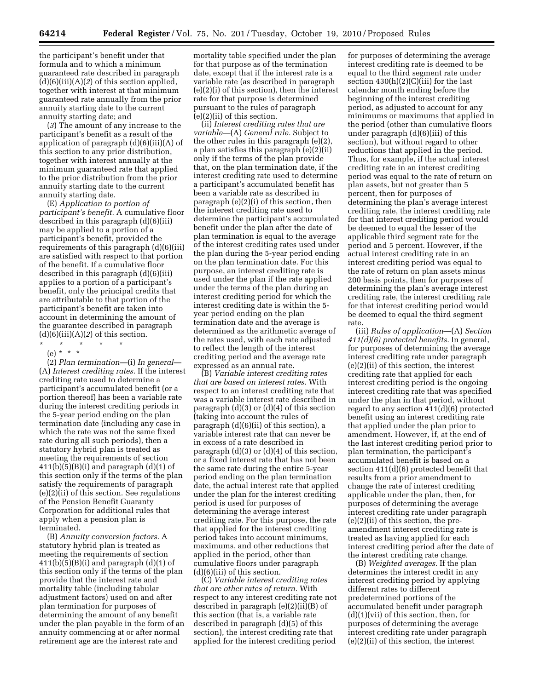the participant's benefit under that formula and to which a minimum guaranteed rate described in paragraph (d)(6)(iii)(A)(*2*) of this section applied, together with interest at that minimum guaranteed rate annually from the prior annuity starting date to the current annuity starting date; and

(*3*) The amount of any increase to the participant's benefit as a result of the application of paragraph (d)(6)(iii)(A) of this section to any prior distribution, together with interest annually at the minimum guaranteed rate that applied to the prior distribution from the prior annuity starting date to the current annuity starting date.

(E) *Application to portion of participant's benefit.* A cumulative floor described in this paragraph (d)(6)(iii) may be applied to a portion of a participant's benefit, provided the requirements of this paragraph (d)(6)(iii) are satisfied with respect to that portion of the benefit. If a cumulative floor described in this paragraph (d)(6)(iii) applies to a portion of a participant's benefit, only the principal credits that are attributable to that portion of the participant's benefit are taken into account in determining the amount of the guarantee described in paragraph  $(d)(6)(iii)(A)(2)$  of this section.

#### \* \* \* \* \*

## (e) \* \* \*

(2) *Plan termination*—(i) *In general*— (A) *Interest crediting rates.* If the interest crediting rate used to determine a participant's accumulated benefit (or a portion thereof) has been a variable rate during the interest crediting periods in the 5-year period ending on the plan termination date (including any case in which the rate was not the same fixed rate during all such periods), then a statutory hybrid plan is treated as meeting the requirements of section  $411(b)(5)(B)(i)$  and paragraph  $(d)(1)$  of this section only if the terms of the plan satisfy the requirements of paragraph (e)(2)(ii) of this section. See regulations of the Pension Benefit Guaranty Corporation for additional rules that apply when a pension plan is terminated.

(B) *Annuity conversion factors.* A statutory hybrid plan is treated as meeting the requirements of section  $411(b)(5)(B)(i)$  and paragraph  $(d)(1)$  of this section only if the terms of the plan provide that the interest rate and mortality table (including tabular adjustment factors) used on and after plan termination for purposes of determining the amount of any benefit under the plan payable in the form of an annuity commencing at or after normal retirement age are the interest rate and

mortality table specified under the plan for that purpose as of the termination date, except that if the interest rate is a variable rate (as described in paragraph (e)(2)(i) of this section), then the interest rate for that purpose is determined pursuant to the rules of paragraph (e)(2)(ii) of this section.

(ii) *Interest crediting rates that are variable*—(A) *General rule.* Subject to the other rules in this paragraph (e)(2), a plan satisfies this paragraph (e)(2)(ii) only if the terms of the plan provide that, on the plan termination date, if the interest crediting rate used to determine a participant's accumulated benefit has been a variable rate as described in paragraph (e)(2)(i) of this section, then the interest crediting rate used to determine the participant's accumulated benefit under the plan after the date of plan termination is equal to the average of the interest crediting rates used under the plan during the 5-year period ending on the plan termination date. For this purpose, an interest crediting rate is used under the plan if the rate applied under the terms of the plan during an interest crediting period for which the interest crediting date is within the 5 year period ending on the plan termination date and the average is determined as the arithmetic average of the rates used, with each rate adjusted to reflect the length of the interest crediting period and the average rate expressed as an annual rate.

(B) *Variable interest crediting rates that are based on interest rates.* With respect to an interest crediting rate that was a variable interest rate described in paragraph (d)(3) or (d)(4) of this section (taking into account the rules of paragraph (d)(6)(ii) of this section), a variable interest rate that can never be in excess of a rate described in paragraph (d)(3) or (d)(4) of this section, or a fixed interest rate that has not been the same rate during the entire 5-year period ending on the plan termination date, the actual interest rate that applied under the plan for the interest crediting period is used for purposes of determining the average interest crediting rate. For this purpose, the rate that applied for the interest crediting period takes into account minimums, maximums, and other reductions that applied in the period, other than cumulative floors under paragraph (d)(6)(iii) of this section.

(C) *Variable interest crediting rates that are other rates of return.* With respect to any interest crediting rate not described in paragraph (e)(2)(ii)(B) of this section (that is, a variable rate described in paragraph (d)(5) of this section), the interest crediting rate that applied for the interest crediting period

for purposes of determining the average interest crediting rate is deemed to be equal to the third segment rate under section  $430(h)(2)(C(iii)$  for the last calendar month ending before the beginning of the interest crediting period, as adjusted to account for any minimums or maximums that applied in the period (other than cumulative floors under paragraph  $(d)(6)(iii)$  of this section), but without regard to other reductions that applied in the period. Thus, for example, if the actual interest crediting rate in an interest crediting period was equal to the rate of return on plan assets, but not greater than 5 percent, then for purposes of determining the plan's average interest crediting rate, the interest crediting rate for that interest crediting period would be deemed to equal the lesser of the applicable third segment rate for the period and 5 percent. However, if the actual interest crediting rate in an interest crediting period was equal to the rate of return on plan assets minus 200 basis points, then for purposes of determining the plan's average interest crediting rate, the interest crediting rate for that interest crediting period would be deemed to equal the third segment rate.

(iii) *Rules of application*—(A) *Section 411(d)(6) protected benefits.* In general, for purposes of determining the average interest crediting rate under paragraph (e)(2)(ii) of this section, the interest crediting rate that applied for each interest crediting period is the ongoing interest crediting rate that was specified under the plan in that period, without regard to any section 411(d)(6) protected benefit using an interest crediting rate that applied under the plan prior to amendment. However, if, at the end of the last interest crediting period prior to plan termination, the participant's accumulated benefit is based on a section 411(d)(6) protected benefit that results from a prior amendment to change the rate of interest crediting applicable under the plan, then, for purposes of determining the average interest crediting rate under paragraph (e)(2)(ii) of this section, the preamendment interest crediting rate is treated as having applied for each interest crediting period after the date of the interest crediting rate change.

(B) *Weighted averages.* If the plan determines the interest credit in any interest crediting period by applying different rates to different predetermined portions of the accumulated benefit under paragraph  $(d)(1)(vii)$  of this section, then, for purposes of determining the average interest crediting rate under paragraph (e)(2)(ii) of this section, the interest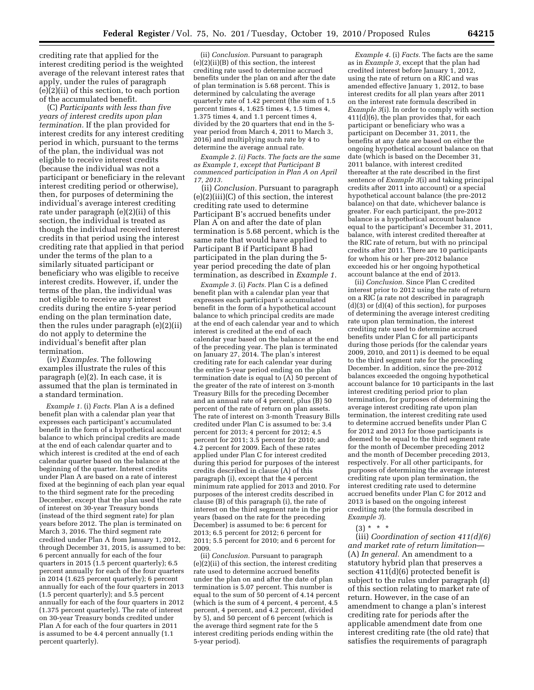crediting rate that applied for the interest crediting period is the weighted average of the relevant interest rates that apply, under the rules of paragraph (e)(2)(ii) of this section, to each portion of the accumulated benefit.

(C) *Participants with less than five years of interest credits upon plan termination.* If the plan provided for interest credits for any interest crediting period in which, pursuant to the terms of the plan, the individual was not eligible to receive interest credits (because the individual was not a participant or beneficiary in the relevant interest crediting period or otherwise), then, for purposes of determining the individual's average interest crediting rate under paragraph (e)(2)(ii) of this section, the individual is treated as though the individual received interest credits in that period using the interest crediting rate that applied in that period under the terms of the plan to a similarly situated participant or beneficiary who was eligible to receive interest credits. However, if, under the terms of the plan, the individual was not eligible to receive any interest credits during the entire 5-year period ending on the plan termination date, then the rules under paragraph (e)(2)(ii) do not apply to determine the individual's benefit after plan termination.

(iv) *Examples.* The following examples illustrate the rules of this paragraph (e)(2). In each case, it is assumed that the plan is terminated in a standard termination.

*Example 1.* (i) *Facts.* Plan A is a defined benefit plan with a calendar plan year that expresses each participant's accumulated benefit in the form of a hypothetical account balance to which principal credits are made at the end of each calendar quarter and to which interest is credited at the end of each calendar quarter based on the balance at the beginning of the quarter. Interest credits under Plan A are based on a rate of interest fixed at the beginning of each plan year equal to the third segment rate for the preceding December, except that the plan used the rate of interest on 30-year Treasury bonds (instead of the third segment rate) for plan years before 2012. The plan is terminated on March 3, 2016. The third segment rate credited under Plan A from January 1, 2012, through December 31, 2015, is assumed to be: 6 percent annually for each of the four quarters in 2015 (1.5 percent quarterly); 6.5 percent annually for each of the four quarters in 2014 (1.625 percent quarterly); 6 percent annually for each of the four quarters in 2013 (1.5 percent quarterly); and 5.5 percent annually for each of the four quarters in 2012 (1.375 percent quarterly). The rate of interest on 30-year Treasury bonds credited under Plan A for each of the four quarters in 2011 is assumed to be 4.4 percent annually (1.1 percent quarterly).

(ii) *Conclusion.* Pursuant to paragraph (e)(2)(ii)(B) of this section, the interest crediting rate used to determine accrued benefits under the plan on and after the date of plan termination is 5.68 percent. This is determined by calculating the average quarterly rate of 1.42 percent (the sum of 1.5 percent times 4, 1.625 times 4, 1.5 times 4, 1.375 times 4, and 1.1 percent times 4, divided by the 20 quarters that end in the 5 year period from March 4, 2011 to March 3, 2016) and multiplying such rate by 4 to determine the average annual rate.

*Example 2. (i) Facts. The facts are the same as Example 1, except that Participant B commenced participation in Plan A on April 17, 2013.* 

(ii) *Conclusion.* Pursuant to paragraph (e)(2)(iii)(C) of this section, the interest crediting rate used to determine Participant B's accrued benefits under Plan A on and after the date of plan termination is 5.68 percent, which is the same rate that would have applied to Participant B if Participant B had participated in the plan during the 5 year period preceding the date of plan termination, as described in *Example 1.* 

*Example 3.* (i) *Facts.* Plan C is a defined benefit plan with a calendar plan year that expresses each participant's accumulated benefit in the form of a hypothetical account balance to which principal credits are made at the end of each calendar year and to which interest is credited at the end of each calendar year based on the balance at the end of the preceding year. The plan is terminated on January 27, 2014. The plan's interest crediting rate for each calendar year during the entire 5-year period ending on the plan termination date is equal to (A) 50 percent of the greater of the rate of interest on 3-month Treasury Bills for the preceding December and an annual rate of 4 percent, plus (B) 50 percent of the rate of return on plan assets. The rate of interest on 3-month Treasury Bills credited under Plan C is assumed to be: 3.4 percent for 2013; 4 percent for 2012; 4.5 percent for 2011; 3.5 percent for 2010; and 4.2 percent for 2009. Each of these rates applied under Plan C for interest credited during this period for purposes of the interest credits described in clause (A) of this paragraph (i), except that the 4 percent minimum rate applied for 2013 and 2010. For purposes of the interest credits described in clause (B) of this paragraph (i), the rate of interest on the third segment rate in the prior years (based on the rate for the preceding December) is assumed to be: 6 percent for 2013; 6.5 percent for 2012; 6 percent for 2011; 5.5 percent for 2010; and 6 percent for 2009.

(ii) *Conclusion.* Pursuant to paragraph (e)(2)(ii) of this section, the interest crediting rate used to determine accrued benefits under the plan on and after the date of plan termination is 5.07 percent. This number is equal to the sum of 50 percent of 4.14 percent (which is the sum of 4 percent, 4 percent, 4.5 percent, 4 percent, and 4.2 percent, divided by 5), and 50 percent of 6 percent (which is the average third segment rate for the 5 interest crediting periods ending within the 5-year period).

*Example 4.* (i) *Facts.* The facts are the same as in *Example 3,* except that the plan had credited interest before January 1, 2012, using the rate of return on a RIC and was amended effective January 1, 2012, to base interest credits for all plan years after 2011 on the interest rate formula described in *Example 3*(i). In order to comply with section 411(d)(6), the plan provides that, for each participant or beneficiary who was a participant on December 31, 2011, the benefits at any date are based on either the ongoing hypothetical account balance on that date (which is based on the December 31, 2011 balance, with interest credited thereafter at the rate described in the first sentence of *Example 3*(i) and taking principal credits after 2011 into account) or a special hypothetical account balance (the pre-2012 balance) on that date, whichever balance is greater. For each participant, the pre-2012 balance is a hypothetical account balance equal to the participant's December 31, 2011, balance, with interest credited thereafter at the RIC rate of return, but with no principal credits after 2011. There are 10 participants for whom his or her pre-2012 balance exceeded his or her ongoing hypothetical account balance at the end of 2013.

(ii) *Conclusion.* Since Plan C credited interest prior to 2012 using the rate of return on a RIC (a rate not described in paragraph (d)(3) or (d)(4) of this section), for purposes of determining the average interest crediting rate upon plan termination, the interest crediting rate used to determine accrued benefits under Plan C for all participants during those periods (for the calendar years 2009, 2010, and 2011) is deemed to be equal to the third segment rate for the preceding December. In addition, since the pre-2012 balances exceeded the ongoing hypothetical account balance for 10 participants in the last interest crediting period prior to plan termination, for purposes of determining the average interest crediting rate upon plan termination, the interest crediting rate used to determine accrued benefits under Plan C for 2012 and 2013 for those participants is deemed to be equal to the third segment rate for the month of December preceding 2012 and the month of December preceding 2013, respectively. For all other participants, for purposes of determining the average interest crediting rate upon plan termination, the interest crediting rate used to determine accrued benefits under Plan C for 2012 and 2013 is based on the ongoing interest crediting rate (the formula described in *Example 3*).

# $(3) * * * *$

(iii) *Coordination of section 411(d)(6) and market rate of return limitation*— (A) *In general.* An amendment to a statutory hybrid plan that preserves a section 411(d)(6) protected benefit is subject to the rules under paragraph (d) of this section relating to market rate of return. However, in the case of an amendment to change a plan's interest crediting rate for periods after the applicable amendment date from one interest crediting rate (the old rate) that satisfies the requirements of paragraph